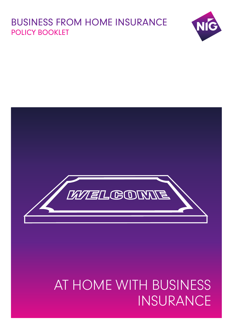# BUSINESS FROM HOME INSURANCE POLICY BOOKLET





# AT HOME WITH BUSINESS INSURANCE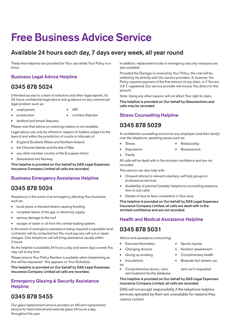# **Free Business Advice Service**

# **Available 24 hours each day, 7 days every week, all year round**

These free helplines are provided for Your use whilst Your Policy is in force:

# **Business Legal Advice Helpline**

# **0345 878 5024**

Unlimited access to a team of solicitors and other legal experts, for 24 hours confidential legal advice and guidance on any commercial legal problem such as:

- **●** employment **●** VAT
	-
- **●** prosecution **●** contract disputes
- 
- **●** landlord and tenant disputes.

Please note that advice on motoring matters is not available.

Legal advice can only be offered in respect of matters subject to the laws of and within the jurisdiction of courts or tribunals of:

- **●** England Scotland Wales and Northern Ireland
- **●** the Channel Islands and the Isle of Man
- **●** any other member country of the European Union
- **●** Switzerland and Norway.

**This helpline is provided on Our behalf by DAS Legal Expenses Insurance Company Limited all calls are recorded.**

# **Business Emergency Assistance Helpline**

# **0345 878 5024**

Assistance in the event of an emergency affecting Your business, such as:

- **●** burst pipes or blocked drains causing flooding
- **●** complete failure of the gas or electricity supply
- **●** serious damage to the roof
- **●** escape of water or oil from the central heating system.

In the event of emergency assistance being required a reputable local contractor will be contacted but You must pay any call-out or repair charges. One telephone call will bring assistance usually within 2 hours.

As the helpline is available 24 hours a day and seven days a week You may call at any time.

Please ensure Your Policy Number is available when telephoning as this will be requested - this appears on Your Schedule.

**This helpline is provided on Our behalf by DAS Legal Expenses Insurance Company Limited all calls are recorded.**

# **Emergency Glazing & Security Assistance Helpline**

# **0345 878 5455**

Our glass replacement service provides an efficient replacement service for fixed internal and external glass 24 hours a day, throughout the year.

In addition, replacement locks or emergency security measures are also available.

Provided the Damage is covered by Your Policy, the cost will be settled by Us directly with Our service providers. If, however, the Policy requires payment of the first amount of any claim, or if You are V.A.T. registered, Our service provider will invoice You direct for this amount.

Note: Using any other repairer will not affect Your right to claim.

**This helpline is provided on Our behalf by Glassolutions and calls may be recorded.**

# **Stress Counselling Helpline**

# **0345 878 5029**

A confidential counselling service for any employee (and their family) over the telephone, assisting issues such as:

- 
- **●** Stress **●** Relationship
	- **●** Depression **●** Bereavement
	- **●** Family

All calls will be dealt with in the strictest confidence and are not recorded

This service can also help with:

- **●** Onward referral to relevant voluntary, self help groups or professional services
- **●** Availability of planned (weekly) telephone counselling sessions, time to suit caller
- Details of face to face counsellors in Your area.

**This helpline is provided on Our behalf by DAS Legal Expenses Insurance Company Limited, all calls are dealt with in the strictest confidence and are not recorded.**

# **Health and Medical Assistance Helpline**

# **0345 878 5031**

Advice and assistance concerning:

- **●** Exercise Information **●** Sports injuries
- 
- 
- 

be

Comprehensive doctor, clinic sent out if requested and treatment facility database.

#### **This helpline is provided on Our behalf by DAS Legal Expenses Insurance Company Limited, all calls are recorded.**

DAS will not accept responsibility if the telephone helpline services operated by them are unavailable for reasons they cannot control.

- 
- **●** Changing doctors **●** Nutrition assessment
- **●** Giving up smoking **●** Complimentary health
- **●** Inoculations **●** Bespoke fact sheets can

- -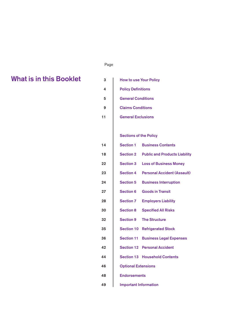#### ل المستخدم المستخدم المستخدم المستخدم المستخدم المستخدم المستخدم المستخدم المستخدم المستخدم المستخدم المستخدم ا

# **3 What is in this Booklet**

| in this Booklet | 3      | <b>How to use Your Policy</b>                            |  |  |
|-----------------|--------|----------------------------------------------------------|--|--|
|                 | 4      | <b>Policy Definitions</b>                                |  |  |
|                 | 5      | <b>General Conditions</b>                                |  |  |
|                 | 9      | <b>Claims Conditions</b>                                 |  |  |
|                 | 11     | <b>General Exclusions</b>                                |  |  |
|                 |        |                                                          |  |  |
|                 |        | <b>Sections of the Policy</b>                            |  |  |
|                 | 14     | <b>Section 1</b><br><b>Business Contents</b>             |  |  |
|                 | 18     | <b>Section 2</b><br><b>Public and Products Liability</b> |  |  |
|                 | $22\,$ | <b>Section 3</b><br><b>Loss of Business Money</b>        |  |  |
|                 | 23     | <b>Personal Accident (Assault)</b><br><b>Section 4</b>   |  |  |
|                 | 24     | <b>Section 5</b><br><b>Business Interruption</b>         |  |  |
|                 | 27     | <b>Section 6</b><br><b>Goods in Transit</b>              |  |  |
|                 | 28     | <b>Section 7</b><br><b>Employers Liability</b>           |  |  |
|                 | 30     | <b>Section 8</b><br><b>Specified All Risks</b>           |  |  |
|                 | 32     | <b>Section 9</b><br><b>The Structure</b>                 |  |  |
|                 | 35     | <b>Section 10</b><br><b>Refrigerated Stock</b>           |  |  |
|                 | 36     | <b>Section 11</b><br><b>Business Legal Expenses</b>      |  |  |
|                 | 42     | <b>Section 12 Personal Accident</b>                      |  |  |
|                 | 44     | <b>Section 13 Household Contents</b>                     |  |  |
|                 | 46     | <b>Optional Extensions</b>                               |  |  |
|                 | 48     | <b>Endorsements</b>                                      |  |  |
|                 | 49     | <b>Important Information</b>                             |  |  |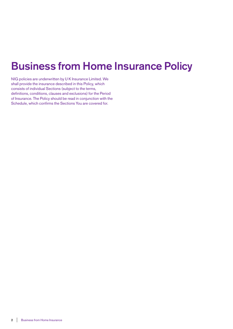# **Business from Home Insurance Policy**

NIG policies are underwritten by U K Insurance Limited. We shall provide the insurance described in this Policy, which consists of individual Sections (subject to the terms, definitions, conditions, clauses and exclusions) for the Period of Insurance. The Policy should be read in conjunction with the Schedule, which confirms the Sections You are covered for.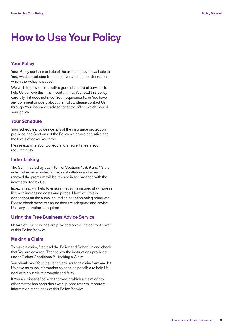# **How to Use Your Policy**

# **Your Policy**

Your Policy contains details of the extent of cover available to You, what is excluded from the cover and the conditions on which the Policy is issued.

We wish to provide You with a good standard of service. To help Us achieve this, it is important that You read this policy carefully. If it does not meet Your requirements, or You have any comment or query about the Policy, please contact Us through Your insurance adviser or at the office which issued Your policy.

#### **Your Schedule**

Your schedule provides details of the insurance protection provided, the Sections of the Policy which are operative and the levels of cover You have.

Please examine Your Schedule to ensure it meets Your requirements.

#### **Index Linking**

The Sum Insured by each item of Sections 1, 8, 9 and 13 are index linked as a protection against inflation and at each renewal the premium will be revised in accordance with the index adopted by Us.

Index linking will help to ensure that sums insured stay more in line with increasing costs and prices. However, this is dependent on the sums insured at inception being adequate. Please check these to ensure they are adequate and advise Us if any alteration is required.

## **Using the Free Business Advice Service**

Details of Our helplines are provided on the inside front cover of this Policy Booklet.

### **Making a Claim**

To make a claim, first read the Policy and Schedule and check that You are covered. Then follow the instructions provided under Claims Conditions B - Making a Claim.

You should ask Your insurance adviser for a claim form and let Us have as much information as soon as possible to help Us deal with Your claim promptly and fairly.

If You are dissatisfied with the way in which a claim or any other matter has been dealt with, please refer to Important Information at the back of this Policy Booklet.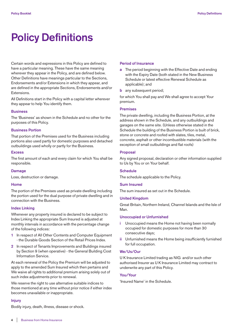# **Policy Definitions**

Certain words and expressions in this Policy are defined to have a particular meaning. These have the same meaning wherever they appear in the Policy, and are defined below. Other Definitions have meanings particular to the Sections, Endorsements and/or Extensions in which they appear, and are defined in the appropriate Sections, Endorsements and/or Extensions.

All Definitions start in the Policy with a capital letter wherever they appear to help You identify them.

#### **Business**

The 'Business' as shown in the Schedule and no other for the purposes of this Policy.

#### **Business Portion**

That portion of the Premises used for the Business including portions also used partly for domestic purposes and detached outbuildings used wholly or partly for the Business.

#### **Excess**

The first amount of each and every claim for which You shall be responsible.

#### **Damage**

Loss, destruction or damage.

#### **Home**

The portion of the Premises used as private dwelling including the portion used for the dual purpose of private dwelling and in connection with the Business.

#### **Index Linking**

Whenever any property insured is declared to be subject to Index Linking the appropriate Sum Insured is adjusted at monthly intervals in accordance with the percentage change of the following indices:

- **1** In respect of All Other Contents and Computer Equipment - the Durable Goods Section of the Retail Prices Index.
- **2** In respect of Tenants Improvements and Buildings insured by Section 9 (when operative) - the General Building Cost Information Service.

At each renewal of the Policy the Premium will be adjusted to apply to the amended Sum Insured which then pertains and We waive all rights to additional premium arising solely out of such index adjustments prior to renewal.

We reserve the right to use alternative suitable indices to those mentioned at any time without prior notice if either index becomes unavailable or inappropriate.

#### **Injury**

Bodily injury, death, illness, disease or shock.

#### **Period of Insurance**

- **a** The period beginning with the Effective Date and ending with the Expiry Date (both stated in the New Business Schedule or latest effective Renewal Schedule as applicable); and
- **b** any subsequent period;

for which You shall pay and We shall agree to accept Your premium.

#### **Premises**

The private dwelling, including the Business Portion, at the address shown in the Schedule, and any outbuildings and garages on the same site. (Unless otherwise stated in the Schedule the building of the Business Portion is built of brick, stone or concrete and roofed with slates, tiles, metal, concrete, asphalt or other incombustible materials (with the exception of small outbuildings and flat roofs)

#### **Proposal**

Any signed proposal, declaration or other information supplied to Us by You or on Your behalf.

#### **Schedule**

The schedule applicable to the Policy.

#### **Sum Insured**

The sum insured as set out in the Schedule.

## **United Kingdom**

Great Britain, Northern Ireland, Channel Islands and the Isle of Man.

#### **Unoccupied or Unfurnished**

- **i** Unoccupied means the Home not having been normally occupied for domestic purposes for more than 30 consecutive days;
- **ii** Unfurnished means the Home being insufficiently furnished for full occupation.

#### **We/Us/Our**

U K Insurance Limited trading as NIG and/or such other authorised Insurer as U K Insurance Limited may contract to underwrite any part of this Policy.

#### **You/Your**

'Insured Name' in the Schedule.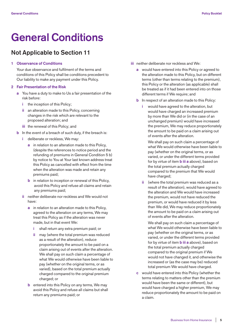# **General Conditions**

# **Not Applicable to Section 11**

#### **1 Observance of Conditions**

 Your due observance and fulfilment of the terms and conditions of this Policy shall be conditions precedent to Our liability to make any payment under this Policy.

#### **2 Fair Presentation of the Risk**

- **a** You have a duty to make to Us a fair presentation of the risk before:
	- **i** the inception of this Policy;
	- **ii** an alteration made to this Policy, concerning changes in the risk which are relevant to the proposed alteration; and
	- **iii** the renewal of this Policy; and
- **b** In the event of a breach of such duty, if the breach is:
	- **i** deliberate or reckless, We may:
		- **a** in relation to an alteration made to this Policy, (despite the references to notice period and the refunding of premiums in General Condition 5 b) by notice to You at Your last known address treat this Policy as cancelled with effect from the time when the alteration was made and retain any premiums paid;
		- **b** in relation to inception or renewal of this Policy, avoid this Policy and refuse all claims and retain any premiums paid;
	- **ii** neither deliberate nor reckless and We would not have:
		- **a** in relation to an alteration made to this Policy, agreed to the alteration on any terms, We may treat this Policy as if the alteration was never made, but in that event We:
			- **i** shall return any extra premium paid; or
			- **ii** may (where the total premium was reduced as a result of the alteration), reduce proportionately the amount to be paid on a claim arising out of events after the alteration. We shall pay on such claim a percentage of what We would otherwise have been liable to pay (whether on the original terms, or as varied), based on the total premium actually charged compared to the original premium charged; or
		- **b** entered into this Policy on any terms, We may avoid this Policy and refuse all claims but shall return any premiums paid; or
- **iii** neither deliberate nor reckless and We:
	- **a** would have entered into this Policy or agreed to the alteration made to this Policy, but on different terms (other than terms relating to the premium), this Policy or the alteration (as applicable) shall be treated as if it had been entered into on those different terms if We require; and
	- **b** In respect of an alteration made to this Policy:
		- **i** would have agreed to the alteration, but would have charged an increased premium by more than We did or (in the case of an unchanged premium) would have increased the premium, We may reduce proportionately the amount to be paid on a claim arising out of events after the alteration.

 We shall pay on such claim a percentage of what We would otherwise have been liable to pay (whether on the original terms, or as varied, or under the different terms provided for by virtue of item **b iii a** above), based on the total premium actually charged compared to the premium that We would have charged;

 **ii** (where the total premium was reduced as a result of the alteration), would have agreed to the alteration and We would have increased the premium, would not have reduced the premium, or would have reduced it by less than We did, We may reduce proportionately the amount to be paid on a claim arising out of events after the alteration.

 We shall pay on such claim a percentage of what We would otherwise have been liable to pay (whether on the original terms, or as varied, or under the different terms provided for by virtue of item **b iii a** above), based on the total premium actually charged compared to the original premium if We would not have changed it, and otherwise the increased or (as the case may be) reduced total premium We would have charged.

 **c** would have entered into this Policy (whether the terms relating to matters other than the premium would have been the same or different), but would have charged a higher premium, We may reduce proportionately the amount to be paid on a claim.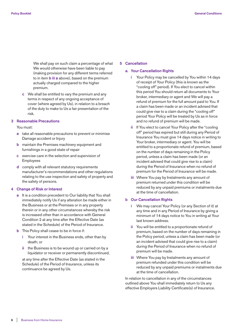We shall pay on such claim a percentage of what We would otherwise have been liable to pay (making provision for any different terms referred to in item **b iii a** above), based on the premium actually charged compared to the higher premium.

 **c** We shall be entitled to vary the premium and any terms in respect of any ongoing acceptance of cover (where agreed by Us), in relation to a breach of the duty to make to Us a fair presentation of the risk.

#### **3 Reasonable Precautions**

#### You must:

- **a** take all reasonable precautions to prevent or minimise Damage accident or Injury
- **b** maintain the Premises machinery equipment and furnishings in a good state of repair
- **c** exercise care in the selection and supervision of Employees
- **d** comply with all relevant statutory requirements manufacturer's recommendations and other regulations relating to the use inspection and safety of property and the safety of persons.

#### **4 Change of Risk or Interest**

- **a** It is a condition precedent to Our liability that You shall immediately notify Us if any alteration be made either in the Business or at the Premises or in any property therein or in any other circumstances whereby the risk is increased other than in accordance with General Condition 2 at any time after the Effective Date (as stated in the Schedule) of the Period of Insurance.
- **b** This Policy shall cease to be in force if:
	- **i** Your interest in the Business ends, other than by death; or
	- **ii** the Business is to be wound up or carried on by a liquidator or receiver or permanently discontinued,

 at any time after the Effective Date (as stated in the Schedule) of the Period of Insurance, unless its continuance be agreed by Us.

#### **5 Cancellation**

#### **a. Your Cancellation Rights**

- **i** Your Policy may be cancelled by You within 14 days of receipt of Your Policy (this is known as the "cooling off" period). If You elect to cancel within this period You should return all documents to Your broker, intermediary or agent and We will pay a refund of premium for the full amount paid to You. If a claim has been made or an incident advised that could give rise to a claim during the "cooling off" period Your Policy will be treated by Us as in force and no refund of premium will be made.
- If You elect to cancel Your Policy after the "cooling" off" period has expired but still during any Period of Insurance You must give 14 days notice in writing to Your broker, intermediary or agent. You will be entitled to a proportionate refund of premium, based on the number of days remaining in the Policy period, unless a claim has been made (or an incident advised that could give rise to a claim) during the Period of Insurance when no refund of premium for the Period of Insurance will be made.
- **iii** Where You pay by Instalments any amount of premium returned under this condition will be reduced by any unpaid premiums or instalments due at the time of cancellation.

#### **b Our Cancellation Rights**

- **i** We may cancel Your Policy (or any Section of it) at any time and in any Period of Insurance by giving a minimum of 14 days notice to You in writing at Your last known address.
- **ii** You will be entitled to a proportionate refund of premium, based on the number of days remaining in the Policy period, unless a claim has been made (or an incident advised that could give rise to a claim) during the Period of Insurance when no refund of premium will be made.
- **iii** Where You pay by Instalments any amount of premium refunded under this condition will be reduced by any unpaid premiums or instalments due at the time of cancellation.

 In relation to cancellation in any of the circumstances outlined above You shall immediately return to Us any effective Employers Liability Certificate(s) of Insurance.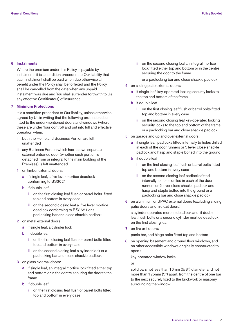#### **6 Instalments**

 Where the premium under this Policy is payable by instalments it is a condition precedent to Our liability that each instalment shall be paid when due otherwise all benefit under the Policy shall be forfeited and the Policy shall be cancelled from the date when any unpaid instalment was due and You shall surrender forthwith to Us any effective Certificate(s) of Insurance.

#### **7 Minimum Protections**

 It is a condition precedent to Our liability, unless otherwise agreed by Us in writing that the following protections be fitted to the under-mentioned doors and windows (where these are under Your control) and put into full and effective operation when:

- **i** both the Home and Business Portion are left unattended
- **ii** any Business Portion which has its own separate external entrance door (whether such portion is detached from or integral to the main building of the Premises) is left unattended.
- **1** on timber external doors:
	- **a** if single leaf, a five lever mortice deadlock conforming to BS3621
	- **b** if double leaf
		- **i** on the first closing leaf flush or barrel bolts fitted top and bottom in every case
		- **ii** on the second closing leaf a five lever mortice deadlock conforming to BS3621 or a padlocking bar and close shackle padlock
- **2** on metal external doors:
	- **a** if single leaf, a cylinder lock
	- **b** if double leaf
		- **i** on the first closing leaf flush or barrel bolts fitted top and bottom in every case
		- **ii** on the second closing leaf a cylinder lock or a padlocking bar and close shackle padlock
- **3** on glass external doors:
	- **a** if single leaf, an integral mortice lock fitted either top and bottom or in the centre securing the door to the frame
	- **b** if double leaf
		- **i** on the first closing leaf flush or barrel bolts fitted top and bottom in every case

 **ii** on the second closing leaf an integral mortice lock fitted either top and bottom or in the centre securing the door to the frame

or a padlocking bar and close shackle padlock

- **4** on sliding patio external doors:
	- **a** if single leaf, key-operated locking security locks to the top and bottom of the frame
	- **b** if double leaf
		- **i** on the first closing leaf flush or barrel bolts fitted top and bottom in every case
		- **ii** on the second closing leaf key-operated locking security locks to the top and bottom of the frame or a padlocking bar and close shackle padlock
- **5** on garage and up and over external doors:
	- **a** if single leaf, padlocks fitted internally to holes drilled in each of the door runners or 5 lever close shackle padlock and hasp and staple bolted into the ground
	- **b** if double leaf
		- **i** on the first closing leaf flush or barrel bolts fitted top and bottom in every case
		- **ii** on the second closing leaf padlocks fitted internally to holes drilled in each of the door runners or 5 lever close shackle padlock and hasp and staple bolted into the ground or a padlocking bar and close shackle padlock
- **6** on aluminium or UPVC external doors (excluding sliding patio doors and fire exit doors):

 a cylinder operated mortice deadlock and, if double leaf, flush bolts or a second cylinder mortice deadlock on the first closing leaf

**7** on fire exit doors:

panic bar, and hinge bolts fitted top and bottom

 **8** on opening basement and ground floor windows, and on other accessible windows originally constructed to open :

key-operated window locks

or

 solid bars not less than 16mm (5/8") diameter and not more than 125mm (5") apart, from the centre of one bar to the next securely fixed to the brickwork or masonry surrounding the window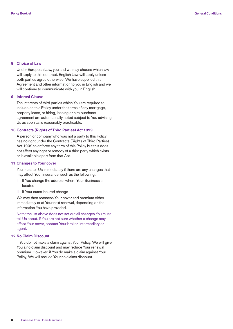#### **8 Choice of Law**

 Under European Law, you and we may choose which law will apply to this contract. English Law will apply unless both parties agree otherwise. We have supplied this Agreement and other information to you in English and we will continue to communicate with you in English.

#### **9 Interest Clause**

 The interests of third parties which You are required to include on this Policy under the terms of any mortgage, property lease, or hiring, leasing or hire purchase agreement are automatically noted subject to You advising Us as soon as is reasonably practicable.

#### **10 Contracts (Rights of Third Parties) Act 1999**

 A person or company who was not a party to this Policy has no right under the Contracts (Rights of Third Parties) Act 1999 to enforce any term of this Policy but this does not affect any right or remedy of a third party which exists or is available apart from that Act.

#### **11 Changes to Your cover**

 You must tell Us immediately if there are any changes that may affect Your insurance, such as the following:

- **i** If You change the address where Your Business is located
- **ii** If Your sums insured change

 We may then reassess Your cover and premium either immediately or at Your next renewal, depending on the information You have provided.

 Note: the list above does not set out all changes You must tell Us about. If You are not sure whether a change may affect Your cover, contact Your broker, intermediary or agent.

#### **12 No Claim Discount**

 If You do not make a claim against Your Policy, We will give You a no claim discount and may reduce Your renewal premium. However, if You do make a claim against Your Policy, We will reduce Your no claims discount.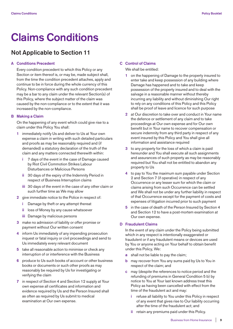# **Claims Conditions**

# **Not Applicable to Section 11**

#### **A Conditions Precedent**

 Every condition precedent to which this Policy or any Section or item thereof is, or may be, made subject shall, from the time the condition precedent attaches, apply and continue to be in force during the whole currency of this Policy. Non-compliance with any such condition precedent may be a bar to any claim under the relevant Section(s) of this Policy, where the subject matter of the claim was caused by the non-compliance or to the extent that it was increased by the non-compliance.

#### **B Making a Claim**

 On the happening of any event which could give rise to a claim under this Policy You shall:

- **1** immediately notify Us and deliver to Us at Your own expense a claim in writing with such detailed particulars and proofs as may be reasonably required and (if demanded) a statutory declaration of the truth of the claim and any matters connected therewith within:
	- **i** 7 days of the event in the case of Damage caused by Riot Civil Commotion Strikes Labour Disturbances or Malicious Persons
	- **ii** 30 days of the expiry of the Indemnity Period in respect of Business Interruption claims
	- **iii** 30 days of the event in the case of any other claim or such further time as We may allow
- **2** give immediate notice to the Police in respect of:
	- **i** Damage by theft or any attempt thereat
	- **ii** loss of Money by any cause whatsoever
	- **iii** Damage by malicious persons
- **3** make no admission of liability or offer promise or payment without Our written consent
- **4** inform Us immediately of any impending prosecution inquest or fatal inquiry or civil proceedings and send to Us immediately every relevant document
- **5** take all reasonable action to minimise or check any interruption of or interference with the Business
- **6** produce to Us such books of account or other business books or documents or such other proofs as may reasonably be required by Us for investigating or verifying the claim
- **7** in respect of Section 4 and Section 12 supply at Your own expense all certificates and information and evidence required by Us and the Person Insured shall as often as required by Us submit to medical examination at Our own expense.

#### **C Control of Claims**

We shall be entitled:

- **1** on the happening of Damage to the property insured to enter take and keep possession of any building where Damage has happened and to take and keep possession of the property insured and to deal with the salvage in a reasonable manner without thereby incurring any liability and without diminishing Our right to rely on any conditions of this Policy and this Policy shall be proof of leave and licence for such purpose
- **2** at Our discretion to take over and conduct in Your name the defence or settlement of any claim and to take proceedings at Our own expense and for Our own benefit but in Your name to recover compensation or secure indemnity from any third party in respect of any event insured by this Policy and You shall give all information and assistance required
- **3** to any property for the loss of which a claim is paid hereunder and You shall execute all such assignments and assurances of such property as may be reasonably required but You shall not be entitled to abandon any property to Us
- **4** to pay to You the maximum sum payable under Section 2 and Section 7 (if operative) in respect of any Occurrence or any lesser sum for which the claim or claims arising from such Occurrence can be settled and We shall not be under any further liability in respect of that Occurrence except for the payment of costs and expenses of litigation incurred prior to such payment
- **5** in the case of death of the Person Insured by Section 4 and Section 12 to have a post-mortem examination at Our own expense.

#### **D Fraudulent Claims**

 In the event of any claim under the Policy being submitted which in any respect is intentionally exaggerated or fraudulent or if any fraudulent means or devices are used by You or anyone acting on Your behalf to obtain benefit under this Policy, We:

- **a** shall not be liable to pay the claim;
- **b** may recover from You any sums paid by Us to You in respect of the claim; and
- **c** may (despite the references to notice period and the refunding of premiums in General Condition 5 b) by notice to You at Your last known address treat this Policy as having been cancelled with effect from the time of the fraudulent act and may:
	- **i** refuse all liability to You under this Policy in respect of any event that gives rise to Our liability occurring after the time of the fraudulent act; and
	- **ii** retain any premiums paid under this Policy.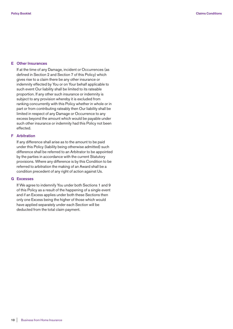#### **E Other Insurances**

 If at the time of any Damage, incident or Occurrences (as defined in Section 2 and Section 7 of this Policy) which gives rise to a claim there be any other insurance or indemnity effected by You or on Your behalf applicable to such event Our liability shall be limited to its rateable proportion. If any other such insurance or indemnity is subject to any provision whereby it is excluded from ranking concurrently with this Policy whether in whole or in part or from contributing rateably then Our liability shall be limited in respect of any Damage or Occurrence to any excess beyond the amount which would be payable under such other insurance or indemnity had this Policy not been effected.

# **F Arbitration**

 If any difference shall arise as to the amount to be paid under this Policy (liability being otherwise admitted) such difference shall be referred to an Arbitrator to be appointed by the parties in accordance with the current Statutory provisions. Where any difference is by this Condition to be referred to arbitration the making of an Award shall be a condition precedent of any right of action against Us.

#### **G Excesses**

 If We agree to indemnify You under both Sections 1 and 9 of this Policy as a result of the happening of a single event and if an Excess applies under both these Sections then only one Excess being the higher of those which would have applied separately under each Section will be deducted from the total claim payment.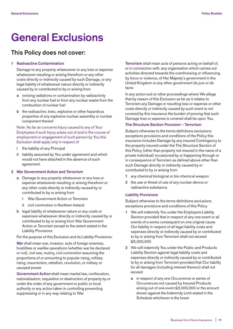# **General Exclusions**

# **This Policy does not cover:**

#### **1 Radioactive Contamination**

 Damage to any property whatsoever or any loss or expense whatsoever resulting or arising therefrom or any other costs directly or indirectly caused by such Damage, or any legal liability of whatsoever nature directly or indirectly caused by or contributed to by or arising from

- **a** ionising radiations or contamination by radioactivity from any nuclear fuel or from any nuclear waste from the combustion of nuclear fuel
- **b** the radioactive, toxic, explosive or other hazardous properties of any explosive nuclear assembly or nuclear component thereof

## Note: As far as concerns Injury caused to any of Your Employees if such Injury arises out of and in the course of employment or engagement of such person by You this Exclusion shall apply only in respect of

- **i** the liability of any Principal
- **ii** liability assumed by You under agreement and which would not have attached in the absence of such agreement.

#### **2 War Government Action and Terrorism**

- **a** Damage to any property whatsoever or any loss or expense whatsoever resulting or arising therefrom or any other costs directly or indirectly caused by or contributed to by or arising from
	- **i** War Government Action or Terrorism
	- **ii** civil commotion in Northern Ireland
- **b** legal liability of whatsoever nature or any costs or expenses whatsoever directly or indirectly caused by or contributed to by or arising from War Government Action or Terrorism except to the extent stated in the Liability Provisions

For the purpose of this Exclusion and its Liability Provisions:

 **War** shall mean war, invasion, acts of foreign enemies, hostilities or warlike operations (whether war be declared or not), civil war, mutiny, civil commotion assuming the proportions of or amounting to popular rising, military rising, insurrection, rebellion, revolution, or military or usurped power

 **Government Action** shall mean martial law, confiscation, nationalisation, requisition or destruction of property by or under the order of any government or public or local authority or any action taken in controlling preventing suppressing or in any way relating to War

 **Terrorism** shall mean acts of persons acting on behalf of, or in connection with, any organisation which carries out activities directed towards the overthrowing or influencing, by force or violence, of Her Majesty's government in the United Kingdom or any other government de jure or de facto

 In any action suit or other proceedings where We allege that by reason of this Exclusion as far as it relates to Terrorism any Damage or resulting loss or expense or other costs directly or indirectly caused by such event is not covered by this insurance the burden of proving that such Damage loss or expense is covered shall be upon You.

#### **The Structure Section Provision – Terrorism**

 Subject otherwise to the terms definitions exclusions exceptions provisions and conditions of the Policy this insurance includes Damage by any insured Contingency to the property insured under the The Structure Section of this Policy (other than property not insured in the name of a private individual) occasioned by or happening through or in consequence of Terrorism as defined above other than such Damage directly or indirectly caused by or contributed to by or arising from

- **1** any chemical biological or bio-chemical weapon
- **2** the use or threat of use of any nuclear device or radioactive substance.

#### **Liability Provisions**

 Subject otherwise to the terms definitions exclusions exceptions provisions and conditions of this Policy

- **1** We will indemnify You under the Employers Liability Section provided that in respect of any one event or all events of a series consequent on one original cause Our liability in respect of all legal liability costs and expenses directly or indirectly caused by or contributed to by or arising from Terrorism shall not exceed £5,000,000
- **2** We will indemnify You under the Public and Products Liability Section against legal liability costs and expenses directly or indirectly caused by or contributed to by or arising from Terrorism provided that Our liability for all damages (including interest thereon) shall not exceed
	- **a** in respect of any one Occurrence or series of Occurrences not caused by Insured Products arising out of one event £2,000,000 or the amount shown against the Indemnity Limit stated in the Schedule whichever is the lower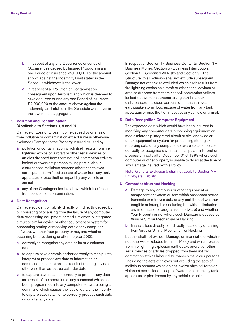- **b** in respect of any one Occurrence or series of Occurrences caused by Insured Products in any one Period of Insurance £2,000,000 or the amount shown against the Indemnity Limit stated in the Schedule whichever is the lower
- **c** in respect of all Pollution or Contamination consequent upon Terrorism and which is deemed to have occurred during any one Period of Insurance £2,000,000 or the amount shown against the Indemnity Limit stated in the Schedule whichever is the lower in the aggregate.

#### **3 Pollution and Contamination (Applicable to Sections 1, 5 and 9)**

 Damage or Loss of Gross Income caused by or arising from pollution or contamination except (unless otherwise excluded) Damage to the Property insured caused by:

- **a** pollution or contamination which itself results from fire lightning explosion aircraft or other aerial devices or articles dropped from them riot civil commotion strikers locked-out workers persons taking part in labour disturbances malicious persons other than thieves earthquake storm flood escape of water from any tank apparatus or pipe theft or impact by any vehicle or animal.
- **b** any of the Contingencies in **a** above which itself results from pollution or contamination.

#### **4 Date Recognition**

 Damage accident or liability directly or indirectly caused by or consisting of or arising from the failure of any computer data processing equipment or media microchip integrated circuit or similar device or other equipment or system for processing storing or receiving data or any computer software, whether Your property or not, and whether occurring before, during or after the year 2000.

- **a** correctly to recognise any date as its true calendar date;
- **b** to capture save or retain and/or correctly to manipulate, interpret or process any data or information or command or instruction as a result of treating any date otherwise than as its true calendar date;
- **c** to capture save retain or correctly to process any data as a result of the operation of any command which has been programmed into any computer software being a command which causes the loss of data or the inability to capture save retain or to correctly process such data on or after any date.

 In respect of Section 1 - Business Contents, Section 3 – Business Money, Section 5 - Business Interruption, Section 8 – Specified All Risks and Section 9 - The Structure, this Exclusion shall not exclude subsequent Damage not otherwise excluded which itself results from fire lightning explosion aircraft or other aerial devices or articles dropped from them riot civil commotion strikers locked-out workers persons taking part in labour disturbances malicious persons other than thieves earthquake storm flood escape of water from any tank apparatus or pipe theft or impact by any vehicle or animal.

#### **5 Date Recognition Computer Equipment**

 The expected cost which would have been incurred in modifying any computer data processing equipment or media microchip integrated circuit or similar device or other equipment or system for processing storing or receiving data or any computer software so as to be able correctly to recognise save retain manipulate interpret or process any date after December 31st 1999 where such computer or other property is unable to do so at the time of any Damage insured by this Policy.

 Note: General Exclusion 5 shall not apply to Section 7 – Employers Liability

#### **6 Computer Virus and Hacking**

- **a** Damage to any computer or other equipment or component or system or item which processes stores transmits or retrieves data or any part thereof whether tangible or intangible (including but without limitation any information or programs or software) and whether Your Property or not where such Damage is caused by Virus or Similar Mechanism or Hacking
- **b** financial loss directly or indirectly caused by or arising from Virus or Similar Mechanism or Hacking

 but this shall not exclude Damage or financial loss which is not otherwise excluded from this Policy and which results from fire lightning explosion earthquake aircraft or other aerial devices or articles dropped from them riot civil commotion strikes labour disturbances malicious persons (including the acts of thieves but excluding the acts of malicious persons which do not involve physical force or violence) storm flood escape of water or oil from any tank apparatus or pipe impact by any vehicle or animal.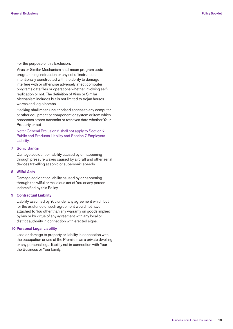For the purpose of this Exclusion:

 Virus or Similar Mechanism shall mean program code programming instruction or any set of instructions intentionally constructed with the ability to damage interfere with or otherwise adversely affect computer programs data files or operations whether involving selfreplication or not. The definition of Virus or Similar Mechanism includes but is not limited to trojan horses worms and logic bombs

 Hacking shall mean unauthorised access to any computer or other equipment or component or system or item which processes stores transmits or retrieves data whether Your Property or not

 Note: General Exclusion 6 shall not apply to Section 2 Public and Products Liability and Section 7 Employers Liability.

#### **7 Sonic Bangs**

 Damage accident or liability caused by or happening through pressure waves caused by aircraft and other aerial devices travelling at sonic or supersonic speeds.

#### **8 Wilful Acts**

 Damage accident or liability caused by or happening through the wilful or malicious act of You or any person indemnified by this Policy.

#### **9 Contractual Liability**

 Liability assumed by You under any agreement which but for the existence of such agreement would not have attached to You other than any warranty on goods implied by law or by virtue of any agreement with any local or district authority in connection with erected signs.

#### **10 Personal Legal Liability**

 Loss or damage to property or liability in connection with the occupation or use of the Premises as a private dwelling or any personal legal liability not in connection with Your the Business or Your family.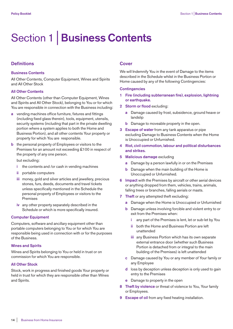# Section 1 | **Business Contents**

## **Definitions**

#### **Business Contents**

All Other Contents, Computer Equipment, Wines and Spirits and All Other Stock

#### **All Other Contents**

All Other Contents (other than Computer Equipment, Wines and Spirits and All Other Stock), belonging to You or for which You are responsible in connection with the Business including:

- **a** vending machines office furniture, fixtures and fittings (including fixed glass therein), tools, equipment, utensils, security systems (including that part in the private dwelling portion where a system applies to both the Home and Business Portion), and all other contents Your property or property for which You are responsible.
- **b** the personal property of Employees or visitors to the Premises for an amount not exceeding £100 in respect of the property of any one person.

but excluding:

- **i** the contents and /or cash in vending machines
- **ii** portable computers
- **iii** money, gold and silver articles and jewellery, precious stones, furs, deeds, documents and travel tickets unless specifically mentioned in the Schedule the personal property of Employees or visitors to the Premises
- **iv** any other property separately described in the Schedule or which is more specifically insured.

#### **Computer Equipment**

Computers, software and ancillary equipment other than portable computers belonging to You or for which You are responsible being used in connection with or for the purposes of the Business.

#### **Wines and Spirits**

Wines and Spirits belonging to You or held in trust or on commission for which You are responsible.

#### **All Other Stock**

Stock, work in progress and finished goods Your property or held in trust for which they are responsible other than Wines and Spirits.

## **Cover**

We will Indemnify You in the event of Damage to the items described in the Schedule whilst in the Business Portion or Home caused by any of the following Contingencies:

#### **Contingencies**

- **1 Fire (including subterranean fire), explosion, lightning or earthquake.**
- **2 Storm or flood** excluding:
	- **a** Damage caused by frost, subsidence, ground heave or landslip
	- **b** Damage to moveable property in the open.
- **3 Escape of water** from any tank apparatus or pipe excluding Damage to Business Contents when the Home is Unoccupied or Unfurnished.
- **4 Riot, civil commotion, labour and political disturbances and strikes.**
- **5 Malicious damage** excluding
	- **a** Damage by a person lawfully in or on the Premises
	- **b** Damage when the main building of the Home is Unoccupied or Unfurnished.
- **6 Impact** with the Premises by aircraft or other aerial devices or anything dropped from them, vehicles, trains, animals, falling trees or branches, falling aerials or masts.
- **7 Theft** or any attempted theft excluding:
	- **a** Damage when the Home is Unoccupied or Unfurnished
	- **b** Damage unless involving forcible and violent entry to or exit from the Premises when:
		- **i** any part of the Premises is lent, let or sub-let by You
		- **ii** both the Home and Business Portion are left unattended
		- **iii** any Business Portion which has its own separate external entrance door (whether such Business Portion is detached from or integral to the main building of the Premises) is left unattended
	- **c** Damage caused by You or any member of Your family or any Employee
	- **d** loss by deception unless deception is only used to gain entry to the Premises
	- **e** Damage to property in the open
- **8 Theft by violence** or threat of violence to You, Your family or Employees.
- **9 Escape of oil** from any fixed heating installation.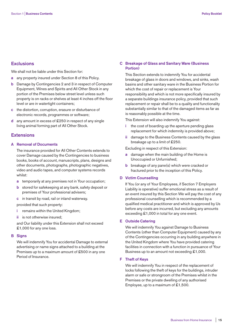# **Exclusions**

We shall not be liable under this Section for:

- **a** any property insured under Section 8 of this Policy.
- **b** Damage by Contingencies 2 and 3 in respect of Computer Equipment, Wines and Spirits and All Other Stock in any portion of the Premises below street level unless such property is on racks or shelves at least 4 inches off the floor level or are in watertight containers;
- **c** the distortion, corruption, erasure or disturbance of electronic records, programmes or software;
- **d** any amount in excess of £250 in respect of any single living animal forming part of All Other Stock.

# **Extensions**

### **A Removal of Documents**

 The insurance provided for All Other Contents extends to cover Damage caused by the Contingencies to business books, books of account, manuscripts, plans, designs and other documents, photographs, photographic negatives, video and audio tapes, and computer systems records whilst:

- **a** temporarily at any premises not in Your occupation;
- **b** stored for safekeeping at any bank, safety deposit or premises of Your professional advisers;
- **c** in transit by road, rail or inland waterway.
- provided that such property:
- **i** remains within the United Kingdom;
- **ii** is not otherwise insured:

 and Our liability under this Extension shall not exceed £1,000 for any one loss.

#### **B Signs**

 We will indemnify You for accidental Damage to external advertising or name signs attached to a building at the Premises up to a maximum amount of £500 in any one Period of Insurance.

## **C Breakage of Glass and Sanitary Ware (Business Portion)**

 This Section extends to indemnify You for accidental breakage of glass in doors and windows, and sinks, wash basins and other sanitary ware in the Business Portion for which the cost of repair or replacement is Your responsibility and which is not more specifically insured by a separate buildings insurance policy, provided that such replacement or repair shall be to a quality and functionality substantially similar to that of the damaged items as far as is reasonably possible at the time.

This Extension will also indemnify You against:

- **i** the cost of boarding up the aperture pending glass replacement for which indemnity is provided above;
- **ii** damage to the Business Contents caused by the glass breakage up to a limit of £250.

Excluding in respect of this Extension:

- **a** damage when the main building of the Home is Unoccupied or Unfurnished;
- **b** breakage of any pane(s) which were cracked or fractured prior to the inception of this Policy.

### **D Victim Counselling**

 If You (or any of Your Employees, if Section 7 Employers Liability is operative) suffer emotional stress as a result of an event insured by this Section We will pay the cost of any professional counselling which is recommended by a qualified medical practitioner and which is approved by Us before any costs are incurred, but excluding any amounts exceeding £1,000 in total for any one event.

#### **E Outside Catering**

 We will indemnify You against Damage to Business Contents (other than Computer Equipment) caused by any of the Contingencies occurring in any building anywhere in the United Kingdom where You have provided catering facilities in connection with a function in pursuance of Your Business up to an amount not exceeding £1,000.

#### **F Theft of Keys**

 We will indemnify You in respect of the replacement of locks following the theft of keys for the buildings, intruder alarm or safe or strongroom of the Premises whilst in the Premises or the private dwelling of any authorised Employee, up to a maximum of £1,500.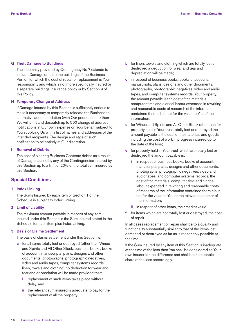#### **G Theft Damage to Buildings**

 The indemnity provided by Contingency No 7 extends to include Damage done to the buildings of the Business Portion for which the cost of repair or replacement is Your responsibility and which is not more specifically insured by a separate buildings insurance policy or by Section 9 of this Policy.

#### **H Temporary Change of Address**

 If Damage insured by this Section is sufficiently serious to make it necessary to temporarily relocate the Business to alternative accommodation (with Our prior consent) then We will print and despatch up to 500 change of address notifications at Our own expense on Your behalf, subject to You supplying Us with a list of names and addresses of the intended recipients. The design and style of such notification to be entirely at Our discretion.

#### **I Removal of Debris**

 The cost of clearing Business Contents debris as a result of Damage caused by any of the Contingencies insured by this Section up to a limit of 20% of the total sum insured by this Section.

## **Special Conditions**

#### **1 Index Linking**

 The Sums Insured by each item of Section 1 of the Schedule is subject to Index Linking.

#### **2 Limit of Liability**

 The maximum amount payable in respect of any item insured under this Section is the Sum Insured stated in the Schedule for each item plus Index Linking.

#### **3 Basis of Claims Settlement**

The basis of claims settlement under this Section is:

- **a** for all items totally lost or destroyed (other than Wines and Spirits and All Other Stock, business books, books of account, manuscripts, plans, designs and other documents, photographs, photographic negatives, video and audio tapes, computer systems records, linen, towels and clothing) no deduction for wear and tear and depreciation will be made provided that:
	- **i** replacement of such items takes place without delay, and
	- **ii** the relevant sum insured is adequate to pay for the replacement of all the property;
- **b** for linen, towels and clothing which are totally lost or destroyed a deduction for wear and tear and depreciation will be made;
- **c** in respect of business books, books of account, manuscripts, plans, designs and other documents, photographs, photographic negatives, video and audio tapes, and computer systems records, Your property, the amount payable is the cost of the materials, computer time and clerical labour expended in rewriting and reasonable costs of research of the information contained therein but not for the value to You of the information;
- **d** for Wines and Spirits and All Other Stock other than for property held in Your trust totally lost or destroyed the amount payable is the cost of the materials and goods including the cost of work in progress incurred up to the date of the loss;
- **e** for property held in Your trust which are totally lost or destroyed the amount payable is:
	- **i** in respect of business books, books of account, manuscripts, plans, designs and other documents, photographs, photographic negatives, video and audio tapes, and computer systems records, the cost of the materials, computer time and clerical labour expended in rewriting and reasonable costs of research of the information contained therein but not for the value to You or the relevant customer of the information;
	- **ii** in respect of other items, their market value;
- **f** for items which are not totally lost or destroyed, the cost of repair.

 In all cases replacement or repair shall be to a quality and functionality substantially similar to that of the items lost damaged or destroyed as far as is reasonably possible at the time.

 If the Sum Insured by any item of this Section is inadequate at the time of the loss then You shall be considered as Your own insurer for the difference and shall bear a rateable share of the loss accordingly.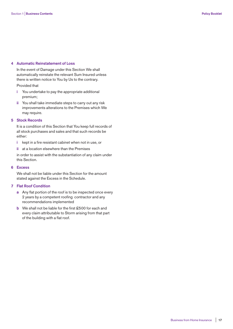#### **4 Automatic Reinstatement of Loss**

In the event of Damage under this Section We shall automatically reinstate the relevant Sum Insured unless there is written notice to You by Us to the contrary.

#### Provided that

- **i** You undertake to pay the appropriate additional premium;
- **ii** You shall take immediate steps to carry out any risk improvements alterations to the Premises which We may require.

#### **5 Stock Records**

 It is a condition of this Section that You keep full records of all stock purchases and sales and that such records be either:

- **i** kept in a fire resistant cabinet when not in use, or
- **ii** at a location elsewhere than the Premises

 in order to assist with the substantiation of any claim under this Section.

#### **6 Excess**

 We shall not be liable under this Section for the amount stated against the Excess in the Schedule.

### **7 Flat Roof Condition**

- **a** Any flat portion of the roof is to be inspected once every 2 years by a competent roofing contractor and any recommendations implemented
- **b** We shall not be liable for the first £500 for each and every claim attributable to Storm arising from that part of the building with a flat roof.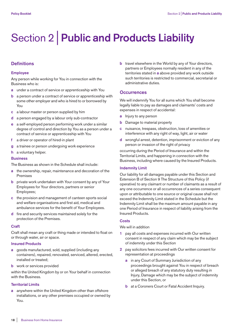# Section 2 | **Public and Products Liability**

# **Definitions**

#### **Employee**

Any person while working for You in connection with the Business who is:

- **a** under a contract of service or apprenticeship with You
- **b** a person under a contract of service or apprenticeship with some other employer and who is hired to or borrowed by You
- **c** a labour master or person supplied by him
- **d** a person engaged by a labour only sub-contractor
- **e** a self-employed person performing work under a similar degree of control and direction by You as a person under a contract of service or apprenticeship with You
- **f** a driver or operator of hired-in plant
- **g** a trainee or person undergoing work experience
- **h** a voluntary helper.

#### **Business**

The Business as shown in the Schedule shall include:

- **a** the ownership, repair, maintenance and decoration of the Premises
- **b** private work undertaken with Your consent by any of Your Employees for Your directors, partners or senior Employees;
- **c** the provision and management of canteen sports social and welfare organisations and first aid, medical and ambulance services for the benefit of Your Employees.
- **d** fire and security services maintained solely for the protection of the Premises.

#### **Craft**

Craft shall mean any craft or thing made or intended to float on or through water, air or space.

#### **Insured Products**

- **a** goods manufactured, sold, supplied (including any containers), repaired, renovated, serviced, altered, erected, installed or treated;
- **b** work or services provided

within the United Kingdom by or on Your behalf in connection with the Business.

#### **Territorial Limits**

**a** anywhere within the United Kingdom other than offshore installations, or any other premises occupied or owned by You.

**b** travel elsewhere in the World by any of Your directors, partners or Employees normally resident in any of the territories stated in **a** above provided any work outside such territories is restricted to commercial, secretarial or administrative duties.

## **Occurrences**

We will indemnify You for all sums which You shall become legally liable to pay as damages and claimants' costs and expenses in respect of accidental:

- **a** Injury to any person
- **b** Damage to material property
- **c** nuisance, trespass, obstruction, loss of amenities or interference with any right of way, light, air or water
- **d** wrongful arrest, detention, imprisonment or eviction of any person or invasion of the right of privacy

occurring during the Period of Insurance and within the Territorial Limits, and happening in connection with the Business, including where caused by the Insured Products.

#### **Indemnity Limit**

Our liability for all damages payable under this Section and Extension B of Section 9 The Structure of this Policy (if operative) to any claimant or number of claimants as a result of any one occurrence or all occurrences of a series consequent upon or attributable to one source or original cause shall not exceed the Indemnity Limit stated in the Schedule but the Indemnity Limit shall be the maximum amount payable in any one Period of Insurance in respect of liability arising from the Insured Products.

#### **Costs**

#### We will in addition

- **1** pay all costs and expenses incurred with Our written consent in respect of any claim which may be the subject of indemnity under this Section
- **2** pay solicitors fees incurred with Our written consent for representation at proceedings
	- **a** in any Court of Summary Jurisdiction of any proceedings brought against You in respect of breach or alleged breach of any statutory duty resulting in Injury, Damage which may be the subject of indemnity under this Section, or
	- **b** at a Coroners Court or Fatal Accident Inquiry.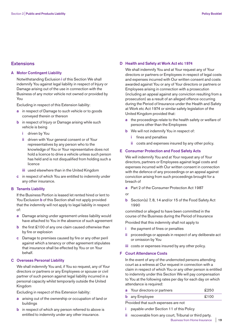# **Extensions**

#### **A Motor Contingent Liability**

 Notwithstanding Exclusion **i** of this Section We shall indemnify You against legal liability in respect of Injury or Damage arising out of the use in connection with the Business of any motor vehicle not owned or provided by You

Excluding in respect of this Extension liability:

- **a** in respect of Damage to such vehicle or to goods conveyed therein or thereon
- **b** in respect of Injury or Damage arising while such vehicle is being
	- **i** driven by You
	- **ii** driven with Your general consent or of Your representatives by any person who to the knowledge of You or Your representative does not hold a licence to drive a vehicle unless such person has held and is not disqualified from holding such a licence
	- **iii** used elsewhere than in the United Kingdom
- **c** in respect of which You are entitled to indemnity under any other insurance.

#### **B Tenants Liability**

 If the Business Portion is leased let rented hired or lent to You Exclusion **b** of this Section shall not apply provided that the indemnity will not apply to legal liability in respect of:

- **a** Damage arising under agreement unless liability would have attached to You in the absence of such agreement
- **b** the first £100 of any one claim caused otherwise than by fire or explosion
- **c** Damage to premises caused by fire or any other peril against which a tenancy or other agreement stipulates that insurance shall be effected by You or on Your behalf.

### **C Overseas Personal Liability**

 We shall indemnify You and, if You so request, any of Your directors or partners or any Employees or spouse or civil partner of such person against legal liability incurred in a personal capacity whilst temporarily outside the United Kingdom

Excluding in respect of this Extension liability:

- **a** arising out of the ownership or occupation of land or buildings
- **b** in respect of which any person referred to above is entitled to indemnity under any other insurance.

#### **D Health and Safety at Work Act etc 1974**

 We shall indemnify You and at Your request any of Your directors or partners or Employees in respect of legal costs and expenses incurred with Our written consent and costs awarded against You or any of Your directors or partners or Employees arising in connection with a prosecution (including an appeal against any conviction resulting from a prosecution) as a result of an alleged offence occurring during the Period of Insurance under the Health and Safety at Work etc Act 1974 or similar safety legislation of the United Kingdom provided that:

- **a** the proceedings relate to the health safety or welfare of persons other than the Employees
- **b** We will not indemnify You in respect of:
	- **i** fines and penalties
	- **ii** costs and expenses insured by any other policy.

#### **E Consumer Protection and Food Safety Acts**

 We will indemnify You and at Your request any of Your directors, partners or Employees against legal costs and expenses incurred with Our written consent in connection with the defence of any proceedings or an appeal against conviction arising from such proceedings brought for a breach of

- **a** Part 2 of the Consumer Protection Act 1987
- or
- **b** Section(s) 7, 8, 14 and/or 15 of the Food Safety Act 1990

 committed or alleged to have been committed in the course of the Business during the Period of Insurance

Provided that this indemnity shall not apply to

- **i** the payment of fines or penalties
- **ii** proceedings or appeals in respect of any deliberate act or omission by You
- **iii** costs or expenses insured by any other policy.

#### **F Court Attendance Costs**

 In the event of any of the undernoted persons attending court as a witness at Our request in connection with a claim in respect of which You or any other person is entitled to indemnity under this Section We will pay compensation to You at the following rates per day for each day on which attendance is required:

| <b>a</b> Your directors or partners | £250 |
|-------------------------------------|------|
| <b>b</b> any Employee               | £100 |

Provided that such expenses are not

- **i** payable under Section 11 of this Policy
- **ii** recoverable from any court, Tribunal or third party. Business from Home Insurance | **19**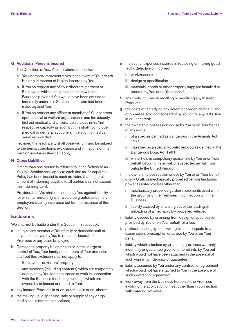#### **G Additional Persons Insured**

The Definition of You/Your is extended to include:

- **a** Your personal representatives in the event of Your death but only in respect of liability incurred by You;
- **b** if You so request any of Your directors, partners or Employees while acting in connection with the Business provided You would have been entitled to Indemnity under this Section if the claim had been made against You;
- **c** if You so request any officer or member of Your canteen sports social or welfare organisations and fire security first aid medical and ambulance services in his/her respective capacity as such but this shall not include medical or dental practitioners in relation to medical services provided

 Provided that each party shall observe, fulfil and be subject to the terms, conditions, exclusions and limitations of this Section insofar as they can apply.

#### **H Cross Liabilities**

 If more than one person is referred to in the Schedule as You this Section shall apply to each one as if a separate Policy has been issued to each provided that the total amount of indemnity payable to all parties shall not exceed the Indemnity Limit.

 Provided that We shall not indemnify You against liability for which an indemnity is or would be granted under any Employers Liability insurance but for the existence of this Section.

## **Exclusions**

We shall not be liable under this Section in respect of:

- **a** Injury to any member of Your family or domestic staff or anyone employed by You to repair or decorate the Premises or any other Employee;
- **b** Damage to property belonging to or in the charge or control of You, Your family or members of Your domestic staff but this exclusion shall not apply to:
	- **i** Employees' or visitors' property
	- **ii** any premises (including contents) which are temporarily occupied by You for the purpose of work in connection with the Business (not being buildings which are owned by or leased or rented to You);
- **c** any Insured Products in or on, or for use in or on, aircraft;
- **d** the making up, dispensing, sale or supply of any drugs, medicines, ointments or potions;
- **e** the cost of expenses incurred in replacing or making good faulty, defective or incorrect:
	- **i** workmanship
	- **ii** design or specification
	- **iii** materials, goods or other property supplied installed or erected by You or on Your behalf;
- **f** any costs incurred in recalling or modifying any Insured Products;
- **g** the costs of remedying any defect or alleged defect in land or premises sold or disposed of by You or for any reduction in value thereof;
- **h** the ownership possession or use by You or on Your behalf of any animal:
	- **i** of a species defined as dangerous in the Animals Act 1971
	- **ii** classified as a specially controlled dog as defined in the Dangerous Dogs Act 1991
	- **iii** whilst held in compulsory quarantine by You or on Your behalf following its arrival, or suspected arrival, from outside the United Kingdom;
- **i** the ownership possession or use by You or on Your behalf of any Craft, or mechanically propelled vehicle (including power assisted cycles) other than:
	- **i** mechanically propelled garden implements used within the grounds of the Premises in connection with the **Business**
	- **ii** liability caused by or arising out of the loading or unloading of a mechanically propelled vehicle;
- **j** liability caused by or arising from design or specification provided by You or on Your behalf for a fee;
- **k** professional negligence, wrongful or inadequate treatment, examination, prescription or advice by You or on Your behalf;
- **l** liability which attaches by virtue of any express warranty, indemnity or guarantee given or entered into by You but which would not have been attached in the absence of such warranty, indemnity or guarantee;
- **m** liability assumed by You under any contract or agreement which would not have attached to You in the absence of such contract or agreement;
- **n** work away from the Business Portion of the Premises involving the application of heat other than in connection with catering activities;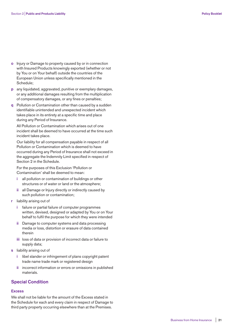- **o** Injury or Damage to property caused by or in connection with Insured Products knowingly exported (whether or not by You or on Your behalf) outside the countries of the European Union unless specifically mentioned in the Schedule;
- **p** any liquidated, aggravated, punitive or exemplary damages, or any additional damages resulting from the multiplication of compensatory damages, or any fines or penalties;
- **q** Pollution or Contamination other than caused by a sudden identifiable unintended and unexpected incident which takes place in its entirety at a specific time and place during any Period of Insurance.

 All Pollution or Contamination which arises out of one incident shall be deemed to have occurred at the time such incident takes place.

 Our liability for all compensation payable in respect of all Pollution or Contamination which is deemed to have occurred during any Period of Insurance shall not exceed in the aggregate the Indemnity Limit specified in respect of Section 2 in the Schedule.

 For the purposes of this Exclusion 'Pollution or Contamination' shall be deemed to mean:

- **i** all pollution or contamination of buildings or other structures or of water or land or the atmosphere;
- **ii** all Damage or Injury directly or indirectly caused by such pollution or contamination;
- **r** liability arising out of
	- **i** failure or partial failure of computer programmes written, devised, designed or adapted by You or on Your behalf to fulfil the purpose for which they were intended
	- **ii** Damage to computer systems and data processing media or loss, distortion or erasure of data contained therein
	- **iii** loss of data or provision of incorrect data or failure to supply data;
- **s** liability arising out of
	- **i** libel slander or infringement of plans copyright patent trade name trade mark or registered design
	- **ii** incorrect information or errors or omissions in published materials.

## **Special Condition**

#### **Excess**

We shall not be liable for the amount of the Excess stated in the Schedule for each and every claim in respect of Damage to third party property occurring elsewhere than at the Premises.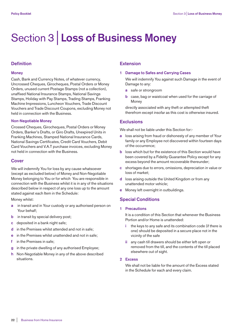# Section 3 | **Loss of Business Money**

# **Definition**

#### **Money**

Cash, Bank and Currency Notes, of whatever currency, Uncrossed Cheques, Girocheques, Postal Orders or Money Orders, unused current Postage Stamps (not a collection), unaffixed National Insurance Stamps, National Savings Stamps, Holiday with Pay Stamps, Trading Stamps, Franking Machine Impressions, Luncheon Vouchers, Trade Discount Vouchers and Trade Discount Coupons, excluding Money not held in connection with the Business.

#### **Non-Negotiable Money**

Crossed Cheques, Girocheques, Postal Orders or Money Orders, Banker's Drafts, or Giro Drafts, Unexpired Units in Franking Machines, Stamped National Insurance Cards, National Savings Certificates, Credit Card Vouchers, Debit Card Vouchers and V.A.T purchase invoices, excluding Money not held in connection with the Business.

# **Cover**

We will indemnify You for loss by any cause whatsoever (except as excluded below) of Money and Non-Negotiable Money belonging to You or for which You are responsible in connection with the Business whilst it is in any of the situations described below in respect of any one loss up to the amount stated against each Item in the Schedule:

Money whilst:

- **a** in transit and in Your custody or any authorised person on Your behalf;
- **b** in transit by special delivery post:
- **c** deposited in a bank night safe;
- **d** in the Premises whilst attended and not in safe;
- **e** in the Premises whilst unattended and not in safe;
- **f** in the Premises in safe;
- **g** in the private dwelling of any authorised Employee;
- **h** Non-Negotiable Money in any of the above described situations.

# **Extension**

#### **1 Damage to Safes and Carrying Cases**

 We will indemnify You against such Damage in the event of Damage to any:

- **a** safe or strongroom
- **b** case, bag or waistcoat when used for the carriage of **Money**

 directly associated with any theft or attempted theft therefrom except insofar as this cost is otherwise insured.

# **Exclusions**

We shall not be liable under this Section for:-

- **a** loss arising from fraud or dishonesty of any member of Your family or any Employee not discovered within fourteen days of the occurrence;
- **b** loss which but for the existence of this Section would have been covered by a Fidelity Guarantee Policy except for any excess beyond the amount recoverable thereunder;
- **c** shortages due to errors, omissions, depreciation in value or loss of market;
- **d** loss arising outside the United Kingdom or from any unattended motor vehicle;
- **e** Money left overnight in outbuildings.

# **Special Conditions**

#### **1 Precautions**

 It is a condition of this Section that whenever the Business Portion and/or Home is unattended:

- **i** the keys to any safe and its combination code (if there is one) should be deposited in a secure place not in the vicinity of the safe
- **ii** any cash till drawers should be either left open or removed from the till, and the contents of the till placed elsewhere out of sight.

# **2 Excess**

 We shall not be liable for the amount of the Excess stated in the Schedule for each and every claim.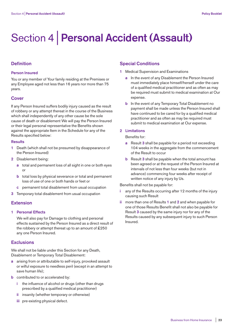# Section 4 | **Personal Accident (Assault)**

# **Definition**

#### **Person Insured**

You or any member of Your family residing at the Premises or any Employee aged not less than 16 years nor more than 75 years.

## **Cover**

If any Person Insured suffers bodily injury caused as the result of robbery or any attempt thereat in the course of the Business which shall independently of any other cause be the sole cause of death or disablement We will pay the Person Insured or their legal personal representative the Benefits shown against the appropriate Item in the Schedule for any of the Results specified below:

#### **Results**

- **1** Death (which shall not be presumed by disappearance of the Person Insured)
- **2** Disablement being:
	- **a** total and permanent loss of all sight in one or both eyes or
	- **b** total loss by physical severance or total and permanent loss of use of one or both hands or feet or
	- **c** permanent total disablement from usual occupation
- **3** Temporary total disablement from usual occupation

# **Extension**

## **1 Personal Effects**

 We will also pay for Damage to clothing and personal effects sustained by the Person Insured as a direct result of the robbery or attempt thereat up to an amount of £250 any one Person Insured.

# **Exclusions**

We shall not be liable under this Section for any Death, Disablement or Temporary Total Disablement:

- **a** arising from or attributable to self-injury, provoked assault or wilful exposure to needless peril (except in an attempt to save human life);
- **b** contributed to or accelerated by:
	- **i** the influence of alcohol or drugs (other than drugs prescribed by a qualified medical practitioner)
	- **ii** insanity (whether temporary or otherwise)
	- **iii** pre-existing physical defect.

# **Special Conditions**

- **1** Medical Supervision and Examinations
	- **a** In the event of any Disablement the Person Insured must immediately place himself/herself under the care of a qualified medical practitioner and as often as may be required must submit to medical examination at Our expense.
	- **b** In the event of any Temporary Total Disablement no payment shall be made unless the Person Insured shall have continued to be cared for by a qualified medical practitioner and as often as may be required must submit to medical examination at Our expense.

## **2 Limitations**

Benefits for:

- **a** Result **3** shall be payable for a period not exceeding 104 weeks in the aggregate from the commencement of the Result to occur
- **b** Result **3** shall be payable when the total amount has been agreed or at the request of the Person Insured at intervals of not less than four weeks (but not in advance) commencing four weeks after receipt of written notice of any injury by Us.

Benefits shall not be payable for:

- **i** any of the Results occurring after 12 months of the injury causing such Result
- **ii** more than one of Results **1** and **2** and when payable for one of those Results Benefit shall not also be payable for Result **3** caused by the same injury nor for any of the Results caused by any subsequent injury to such Person Insured.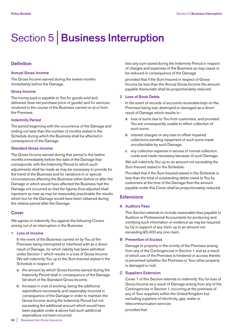# Section 5 | **Business Interruption**

# **Definition**

#### **Annual Gross Income**

The Gross Income earned during the twelve months immediately before the Damage.

#### **Gross Income**

The money paid or payable to You for goods sold and delivered (less net purchase price of goods) and for services rendered in the course of the Business carried on at or from the Premises.

#### **Indemnity Period**

The period beginning with the occurrence of the Damage and ending not later than the number of months stated in the Schedule during which the Business shall be affected in consequence of the Damage.

#### **Standard Gross Income**

The Gross Income earned during that period in the twelve months immediately before the date of the Damage that corresponds with the Indemnity Period to which such adjustments shall be made as may be necessary to provide for the trend of the Business and for variations in or special circumstances affecting the Business either before or after the Damage or which would have affected the Business had the Damage not occurred so that the figures thus adjusted shall represent as near as may be reasonably practicable the results which but for the Damage would have been obtained during the relative period after the Damage.

## **Cover**

We agrees to indemnify You against the following Covers arising out of an interruption in the Business:

#### **1 Loss of Income**

 In the event of the Business carried on by You at the Premises being interrupted or interfered with as a direct result of Damage, for which liability has been admitted under Section 1 which results in a loss of Gross Income We will indemnify You up to the Sum Insured stated in the Schedule in respect of:

- **a** the amount by which Gross Income earned during the Indemnity Period shall in consequence of the Damage fall short of the Standard Gross Income;
- **b** Increase in cost of working, being the additional expenditure necessarily and reasonably incurred in consequence of the Damage in order to maintain the Gross Income during the Indemnity Period but not exceeding the additional amount which would have been payable under **a** above had such additional expenditure not been incurred;

 less any sum saved during the Indemnity Period in respect of charges and expenses of the Business as may cease or be reduced in consequence of the Damage

 provided that if the Sum Insured in respect of Gross Income be less than the Annual Gross Income the amount payable thereunder shall be proportionately reduced.

#### **2 Loss of Book Debts**

 In the event of records of accounts receivable kept on the Premises being lost, destroyed or damaged as a direct result of Damage which results in:-

- **a** loss of sums due to You from customers, and provided You are consequently unable to effect collection of such sums;
- **b** interest charges on any loan to offset impaired collections pending repayment of such sums made uncollectable by such Damage;
- **c** any collection expense in excess of normal collection costs and made necessary because of such Damage;

 We will indemnify You up to an amount not exceeding the Sum Insured stated in the Schedule.

 Provided that if the Sum Insured stated in the Schedule is less than the total of outstanding debts owed to You by customers at the time of the Damage then the amount payable under this Cover shall be proportionately reduced.

# **Extensions**

#### **A Auditors Fees**

 This Section extends to include reasonable fees payable to Auditors or Professional Accountants for producing and certifying such information or evidence as may be required by Us in support of any claim up to an amount not exceeding £5,000 any one claim.

#### **B Prevention of Access**

 Damage to property in the vicinity of the Premises arising from any of the Contingencies in Section 1 and as a result of which use of the Premises is hindered or access thereto is prevented (whether the Premises or Your other property is damaged or not).

#### **C Suppliers Extension**

 Cover 1 of this Section extends to indemnify You for loss of Gross Income as a result of Damage arising from any of the Contingencies in Section 1 occurring at the premises of any of Your suppliers within the United Kingdom but excluding suppliers of electricity, gas, water or telecommunication services

provided that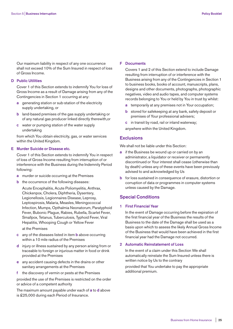Our maximum liability in respect of any one occurrence shall not exceed 10% of the Sum Insured in respect of loss of Gross Income.

#### **D Public Utilities**

 Cover 1 of this Section extends to indemnify You for loss of Gross Income as a result of Damage arising from any of the Contingencies in Section 1 occurring at any:

- **a** generating station or sub-station of the electricity supply undertaking, or
- **b** land-based premises of the gas supply undertaking or of any natural gas producer linked directly therewith,or
- **c** water or pumping station of the water supply undertaking

 from which You obtain electricity, gas, or water services within the United Kingdom.

#### **E Murder Suicide or Disease etc.**

 Cover 1 of this Section extends to indemnify You in respect of loss of Gross Income resulting from interruption of or interference with the Business during the Indemnity Period following:

- **a** murder or suicide occurring at the Premises
- **b** the occurrence of the following diseases:

 Acute Encephalitis, Acute Poliomyelitis, Anthrax, Chickenpox, Cholera, Diphtheria, Dysentery, Legionellosis, Legionnaires Disease, Leprosy, Leptospirosis, Malaria, Measles, Meningococcal Infection, Mumps, Opthalmia Neonatorum, Paratyphoid Fever, Bubonic Plague, Rabies, Rubella, Scarlet Fever, Smallpox, Tetanus, Tuberculosis, Typhoid Fever, Viral Hepatitis, Whooping Cough or Yellow Fever

at the Premises

- **c** any of the diseases listed in item **b** above occurring within a 10 mile radius of the Premises
- **d** injury or illness sustained by any person arising from or traceable to foreign or injurious matter in food or drink provided at the Premises
- **e** any accident causing defects in the drains or other sanitary arrangements at the Premises
- **f** the discovery of vermin or pests at the Premises

 provided the use of the Premises is restricted on the order or advice of a competent authority

 The maximum amount payable under each of **a** to **d** above is £25,000 during each Period of Insurance.

#### **F Documents**

 Covers 1 and 2 of this Section extend to include Damage resulting from interruption of or interference with the Business arising from any of the Contingencies in Section 1 to business books, books of account, manuscripts, plans, designs and other documents, photographs, photographic negatives, video and audio tapes, and computer systems records belonging to You or held by You in trust by whilst:

- **a** temporarily at any premises not in Your occupation;
- **b** stored for safekeeping at any bank, safety deposit or premises of Your professional advisers;
- **c** in transit by road, rail or inland waterway;
- anywhere within the United Kingdom.

#### **Exclusions**

We shall not be liable under this Section:

- **a** if the Business be wound up or carried on by an administrator, a liquidator or receiver or permanently discontinued or Your interest shall cease (otherwise than by death) unless any of these events have been previously advised to and acknowledged by Us
- **b** for loss sustained in consequence of erasure, distortion or corruption of data or programmes in computer systems unless caused by the Damage.

## **Special Conditions**

#### **1 First Financial Year**

 In the event of Damage occurring before the expiration of the first financial year of the Business the results of the Business to the date of the Damage shall be used as a basis upon which to assess the likely Annual Gross Income of the Business that would have been achieved in the first financial year had the Damage not occurred.

#### **2 Automatic Reinstatement of Loss**

 In the event of a claim under this Section We shall automatically reinstate the Sum Insured unless there is written notice by Us to the contrary

 provided that You undertake to pay the appropriate additional premium.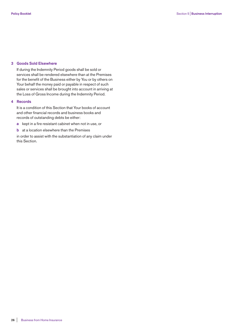### **3 Goods Sold Elsewhere**

 If during the Indemnity Period goods shall be sold or services shall be rendered elsewhere than at the Premises for the benefit of the Business either by You or by others on Your behalf the money paid or payable in respect of such sales or services shall be brought into account in arriving at the Loss of Gross Income during the Indemnity Period.

#### **4 Records**

 It is a condition of this Section that Your books of account and other financial records and business books and records of outstanding debts be either:

- **a** kept in a fire resistant cabinet when not in use, or
- **b** at a location elsewhere than the Premises

 in order to assist with the substantiation of any claim under this Section.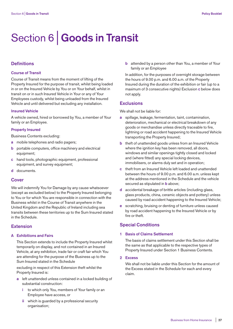# Section 6 | **Goods in Transit**

# **Definitions**

### **Course of Transit**

Course of Transit means from the moment of lifting of the Property Insured for the purpose of transit, whilst being loaded in or on the Insured Vehicle by You or on Your behalf, whilst in transit on or in such Insured Vehicle in Your or any of Your Employees custody, whilst being unloaded from the Insured Vehicle and until delivered but excluding any installation.

#### **Insured Vehicle**

A vehicle owned, hired or borrowed by You, a member of Your family or an Employee.

#### **Property Insured**

Business Contents excluding:

- **a** mobile telephones and radio pagers;
- **b** portable computers, office machinery and electrical equipment;
- **c** hand tools, photographic equipment, professional equipment, and survey equipment;
- **d** documents.

#### **Cover**

We will indemnify You for Damage by any cause whatsoever (except as excluded below) to the Property Insured belonging to You or for which You are responsible in connection with the Business whilst in the Course of Transit anywhere in the United Kingdom and the Republic of Ireland including sea transits between these territories up to the Sum Insured stated in the Schedule.

# **Extension**

#### **A Exhibitions and Fairs**

 This Section extends to include the Property Insured whilst temporarily on display, and not contained in an Insured Vehicle, at any exhibition, trade fair or craft fair which You are attending for the purpose of the Business up to the Sum Insured stated in the Schedule

 excluding in respect of this Extension theft whilst the Property Insured is:

- **a** left unattended unless contained in a locked building of substantial construction:
	- **i** to which only You, members of Your family or an Employee have access, or
	- **ii** which is guarded by a professional security organisation;

 **b** attended by a person other than You, a member of Your family or an Employee

 In addition, for the purposes of overnight storage between the hours of 9.00 p.m. and 6.00 a.m. of the Property Insured during the duration of the exhibition or fair (up to a maximum of 3 consecutive nights) Exclusion **c** below does not apply.

## **Exclusions**

We shall not be liable for:

- **a** spillage, leakage, fermentation, taint, contamination, deterioration, mechanical or electrical breakdown of any goods or merchandise unless directly traceable to fire, lightning or road accident happening to the Insured Vehicle transporting the Property Insured;
- **b** theft of unattended goods unless from an Insured Vehicle where the ignition key has been removed, all doors, windows and similar openings tightly closed and locked and (where fitted) any special locking devices, immobilisers, or alarms duly set and in operation;
- **c** theft from an Insured Vehicle left loaded and unattended between the hours of 9.00 p.m. and 6.00 a.m. unless kept at the address mentioned in the Schedule and the vehicle secured as stipulated in **b** above;
- **d** accidental breakage of brittle articles (including glass, glass products, china, ceramic objects and pottery) unless caused by road accident happening to the Insured Vehicle;
- **e** scratching, bruising or denting of furniture unless caused by road accident happening to the Insured Vehicle or by fire or theft.

# **Special Conditions**

### **1 Basis of Claims Settlement**

 The basis of claims settlement under this Section shall be the same as that applicable to the respective types of Property Insured under Section 1 Business Contents.

**2 Excess**

 We shall not be liable under this Section for the amount of the Excess stated in the Schedule for each and every claim.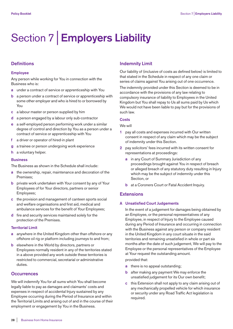# Section 7 | **Employers Liability**

# **Definitions**

#### **Employee**

Any person while working for You in connection with the Business who is:

- **a** under a contract of service or apprenticeship with You
- **b** a person under a contract of service or apprenticeship with some other employer and who is hired to or borrowed by You
- **c** a labour master or person supplied by him
- **d** a person engaged by a labour only sub-contractor
- **e** a self-employed person performing work under a similar degree of control and direction by You as a person under a contract of service or apprenticeship with You
- **f** a driver or operator of hired-in plant
- **g** a trainee or person undergoing work experience
- **h** a voluntary helper.

#### **Business**

The Business as shown in the Schedule shall include:

- **a** the ownership, repair, maintenance and decoration of the Premises;
- **b** private work undertaken with Your consent by any of Your Employees of for Your directors, partners or senior Employees;
- **c** the provision and management of canteen sports social and welfare organisations and first aid, medical and ambulance services for the benefit of Your Employees;
- **d** fire and security services maintained solely for the protection of the Premises.

#### **Territorial Limit**

- **a** anywhere in the United Kingdom other than offshore or any offshore oil rig or platform including journeys to and from;
- **b** elsewhere in the World by directors, partners or Employees normally resident in any of the territories stated in a above provided any work outside these territories is restricted to commercial, secretarial or administrative duties.

# **Occurrences**

We will indemnify You for all sums which You shall become legally liable to pay as damages and claimants' costs and expenses in respect of accidental Injury sustained by any Employee occurring during the Period of Insurance and within the Territorial Limits and arising out of and in the course of their employment or engagement by You in the Business.

# **Indemnity Limit**

Our liability of (inclusive of costs as defined below) is limited to that stated in the Schedule in respect of any one claim or series of claims against You arising out of one occurrence.

The indemnity provided under this Section is deemed to be in accordance with the provisions of any law relating to compulsory insurance of liability to Employees in the United Kingdom but You shall repay to Us all sums paid by Us which We would not have been liable to pay but for the provisions of such law.

#### **Costs**

#### We will

- **1** pay all costs and expenses incurred with Our written consent in respect of any claim which may be the subject of indemnity under this Section.
- **2** pay solicitors' fees incurred with its written consent for representations at proceedings:
	- **a** in any Court of Summary Jurisdiction of any proceedings brought against You in respect of breach or alleged breach of any statutory duty resulting in Injury which may be the subject of indemnity under this Section, or
	- **b** at a Coroners Court or Fatal Accident Inquiry.

## **Extensions**

#### **A Unsatisfied Court Judgements**

 In the event of a judgement for damages being obtained by an Employee, or the personal representatives of any Employee, in respect of Injury to the Employee caused during any Period of Insurance and occurring in connection with the Business against any person or company resident in the United Kingdom in any court situate in the said territories and remaining unsatisfied in whole or part six months after the date of such judgement, We will pay to the Employee or the personal representatives of the Employee at Your request the outstanding amount.

## provided that:

- **a** there is no appeal outstanding;
- **b** after making any payment We may enforce the unsatisfied judgement for its Our own benefit;
- **c** this Extension shall not apply to any claim arising out of any mechanically propelled vehicle for which insurance or security under any Road Traffic Act legislation is required.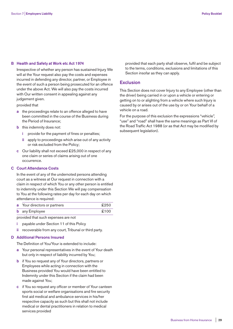#### **B Health and Safety at Work etc Act 1974**

 Irrespective of whether any person has sustained Injury We will at the Your request also pay the costs and expenses incurred in defending any director, partner, or Employee in the event of such a person being prosecuted for an offence under the above Act. We will also pay the costs incurred with Our written consent in appealing against any judgement given.

provided that

- **a** the proceedings relate to an offence alleged to have been committed in the course of the Business during the Period of Insurance;
- **b** this indemnity does not:
	- provide for the payment of fines or penalties;
	- **ii** apply to proceedings which arise out of any activity or risk excluded from the Policy;
- **c** Our liability shall not exceed £25,000 in respect of any one claim or series of claims arising out of one occurrence.

#### **C Court Attendance Costs**

 In the event of any of the undernoted persons attending court as a witness at Our request in connection with a claim in respect of which You or any other person is entitled to indemnity under this Section We will pay compensation to You at the following rates per day for each day on which attendance is required:

| <b>a</b> Your directors or partners | £250 |
|-------------------------------------|------|
| <b>b</b> any Employee               | £100 |

provided that such expenses are not

- **i** payable under Section 11 of this Policy
- **ii** recoverable from any court, Tribunal or third party.

### **D Additional Persons Insured**

The Definition of You/Your is extended to include:

- **a** Your personal representatives in the event of Your death but only in respect of liability incurred by You;
- **b** if You so request any of Your directors, partners or Employees while acting in connection with the Business provided You would have been entitled to Indemnity under this Section if the claim had been made against You;
- **c** if You so request any officer or member of Your canteen sports social or welfare organisations and fire security first aid medical and ambulance services in his/her respective capacity as such but this shall not include medical or dental practitioners in relation to medical services provided

 provided that each party shall observe, fulfil and be subject to the terms, conditions, exclusions and limitations of this Section insofar as they can apply.

# **Exclusion**

This Section does not cover Injury to any Employee (other than the driver) being carried in or upon a vehicle or entering or getting on to or alighting from a vehicle where such Injury is caused by or arises out of the use by or on Your behalf of a vehicle on a road.

For the purpose of this exclusion the expressions "vehicle", "use" and "road" shall have the same meanings as Part VI of the Road Traffic Act 1988 (or as that Act may be modified by subsequent legislation).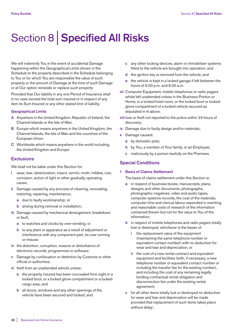# Section 8 | **Specified All Risks**

We will indemnify You in the event of accidental Damage happening within the Geographical Limits shown in the Schedule to the property described in the Schedule belonging to You or for which You are responsible the value of such property or the amount of Damage at the time of such Damage or at Our option reinstate or replace such property

Provided that Our liability in any one Period of Insurance shall in no case exceed the total sum insured or in respect of any item its Sum Insured or any other stated limit of liability.

#### **Geographical Limits**

- **A** Anywhere in the United Kingdom, Republic of Ireland, the Channel Islands or the Isle of Man.
- **B** Europe which means anywhere in the United Kingdom, the Channel Islands, the Isle of Man and the countries of the European Union.
- **C** Worldwide which means anywhere in the world including the United Kingdom and Europe.

# **Exclusions**

We shall not be liable under this Section for:

- **i** wear, tear, deterioration, insect, vermin, moth, mildew, rust, corrosion, action of light or other gradually operating cause;
- **ii** Damage caused by any process of cleaning, renovating, restoring, repairing, maintenance;
	- **a** due to faulty workmanship; or
	- **b** arising during removal or installation;
- **iii** Damage caused by mechanical derangement, breakdown or fault;
	- **a** to watches and clocks by over-winding; or
	- **b** to any plant or apparatus as a result of adjustment or interference with any component part, its over running or misuse;
- **iv** the distortion, corruption, erasure or disturbance of electronic records, programmes or software;
- **v** Damage by confiscation or detention by Customs or other official or authorities;
- **vi** theft from an unattended vehicle unless:
	- **a** the property insured has been concealed from sight in a locked boot, or a locked glove compartment or a locked cargo area; and
	- **b** all doors, windows and any other openings of the vehicle have been secured and locked; and
- **c** any other locking devices, alarm or immobiliser systems fitted to the vehicle are brought into operation; and
- **d** the ignition key is removed from the vehicle; and
- **e** the vehicle is kept in a locked garage if left between the hours of 9.00 p.m. and 6.00 a.m.
- **vii** Computer Equipment, mobile telephones or radio pagers whilst left unattended unless in the Business Portion or Home, in a locked hotel room, or the locked boot or locked glove compartment of a locked vehicle secured as stipulated in **vi** above.
- **viii** loss or theft not reported to the police within 24 hours of discovery;
- **ix** Damage due to faulty design and/or materials;
- **x** Damage caused:
	- **a** by domestic pets;
	- **b** by You, a member of Your family, or an Employee;
	- **c** maliciously by a person lawfully on the Premises.

# **Special Conditions**

## **1 Basis of Claims Settlement**

The basis of claims settlement under this Section is:

- **a** in respect of business books, manuscripts, plans, designs and other documents, photographs, photographic negatives, video and audio tapes, computer systems records, the cost of the materials, computer time and clerical labour expended in rewriting and reasonable costs of research of the information contained therein but not for the value to You of the information;
- **b** in respect of mobile telephones and radio pagers totally lost or destroyed, whichever is the lesser of:
	- **i** the replacement value of the equipment (maintaining the same telephone number or equivalent contact number) with no deduction for wear and tear and depreciation, or
	- **ii** the cost of a new rental contract and equivalent equipment and facilities (with, if necessary, a new telephone number or equivalent contact number or including the transfer fee for the existing number), and including the cost of any remaining legally binding contractual rental obligation and disconnection fee under the existing rental agreement;
- **c** for all other items totally lost or destroyed no deduction for wear and tear and depreciation will be made provided that replacement of such items takes place without delay;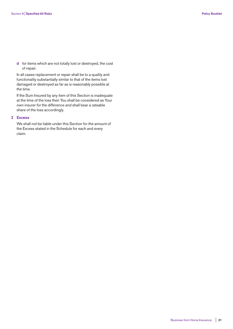**d** for items which are not totally lost or destroyed, the cost of repair.

 In all cases replacement or repair shall be to a quality and functionality substantially similar to that of the items lost damaged or destroyed as far as is reasonably possible at the time.

 If the Sum Insured by any item of this Section is inadequate at the time of the loss then You shall be considered as Your own insurer for the difference and shall bear a rateable share of the loss accordingly.

#### **2 Excess**

 We shall not be liable under this Section for the amount of the Excess stated in the Schedule for each and every claim.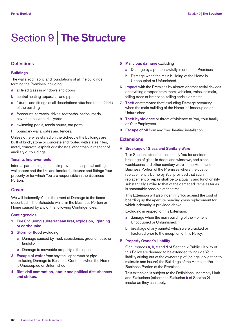# Section 9 | **The Structure**

# **Definitions**

#### **Buildings**

The walls, roof fabric and foundations of all the buildings forming the Premises including:

- **a** all fixed glass in windows and doors
- **b** central heating apparatus and pipes
- **c** fixtures and fittings of all descriptions attached to the fabric of the building
- **d** forecourts, terraces, drives, footpaths, patios, roads, pavements, car parks, yards
- **e** swimming pools, tennis courts, car ports
- f boundary walls, gates and fences.

Unless otherwise stated on the Schedule the buildings are built of brick, stone or concrete and roofed with slates, tiles, metal, concrete, asphalt or asbestos, other than in respect of ancillary outbuildings.

#### **Tenants Improvements**

Internal partitioning, tenants improvements, special ceilings, wallpapers and the like and landlords' fixtures and fittings Your property or for which You are responsible in the Business Portion.

#### **Cover**

We will Indemnify You in the event of Damage to the items described in the Schedule whilst in the Business Portion or Home caused by any of the following Contingencies:

#### **Contingencies**

- **1 Fire (including subterranean fire), explosion, lightning or earthquake.**
- **2 Storm or floo**d excluding:
	- **a** Damage caused by frost, subsidence, ground heave or landslip
	- **b** Damage to moveable property in the open.
- **3 Escape of water** from any tank apparatus or pipe excluding Damage to Business Contents when the Home is Unoccupied or Unfurnished.
- **4 Riot, civil commotion, labour and political disturbances and strikes.**
- **5 Malicious damage** excluding
	- **a** Damage by a person lawfully in or on the Premises
	- **b** Damage when the main building of the Home is Unoccupied or Unfurnished.
- **6 Impact** with the Premises by aircraft or other aerial devices or anything dropped from them, vehicles, trains, animals, falling trees or branches, falling aerials or masts.
- **7 Theft** or attempted theft excluding Damage occurring when the main building of the Home is Unoccupied or Unfurnished.
- **8 Theft by violence** or threat of violence to You, Your family or Your Employees.
- **9 Escape of oil** from any fixed heating installation.

#### **Extensions**

#### **A Breakage of Glass and Sanitary Ware**

 This Section extends to indemnify You for accidental breakage of glass in doors and windows, and sinks, washbasins and other sanitary ware in the Home and Business Portion of the Premises where the cost of replacement is borne by You, provided that such replacement or repair shall be to a quality and functionality substantially similar to that of the damaged items as far as is reasonably possible at the time.

 This Extension will also indemnify You against the cost of boarding up the aperture pending glass replacement for which indemnity is provided above.

Excluding in respect of this Extension:

- **a** damage when the main building of the Home is Unoccupied or Unfurnished;
- **b** breakage of any pane(s) which were cracked or fractured prior to the inception of this Policy.

#### **B Property Owner's Liability**

 Occurrences **a**, **b**, **c** and **d** of Section 2 Public Liability of this Policy are deemed to be extended to include Your liability arising out of the ownership of (or legal obligation to maintain and insure) the Buildings of the Home and/or Business Portion of the Premises.

 This extension is subject to the Definitions, Indemnity Limit and Exclusions (other than Exclusion **b** of Section 2) insofar as they can apply.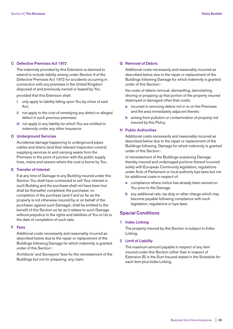#### **C Defective Premises Act 1972**

 The indemnity provided by this Extension is deemed to extend to include liability arising under Section 3 of the Defective Premises Act 1972 for accidents occurring in connection with any premises in the United Kingdom disposed of and previously owned or leased by You

provided that this Extension shall:

- **i** only apply to liability falling upon You by virtue of said Act;
- **ii** not apply to the cost of remedying any defect or alleged defect in such previous premises;
- **iii** not apply to any liability for which You are entitled to indemnity under any other insurance.

#### **D Underground Services**

 Accidental damage happening to underground pipes cables and drains (and their relevant inspection covers) supplying services to and carrying waste from the Premises to the point of junction with the public supply lines, mains and sewers where the cost is borne by You.

#### **E Transfer of Interest**

 If at any time of Damage to any Building insured under this Section You shall have contracted to sell Your interest in such Building and the purchase shall not have been but shall be thereafter completed, the purchaser, on completion of the purchase (and if and so far as the property is not otherwise insured by or on behalf of the purchaser against such Damage), shall be entitled to the benefit of this Section so far as it relates to such Damage without prejudice to the rights and liabilities of You or Us to the date of completion of such sale.

#### **F Fees**

 Additional costs necessarily and reasonably incurred as described below due to the repair or replacement of the Buildings following Damage for which indemnity is granted under of this Section:-

 Architects' and Surveyors' fees for the reinstatement of the Buildings but not for preparing any claim.

#### **G Removal of Debris**

 Additional costs necessarily and reasonably incurred as described below due to the repair or replacement of the Buildings following Damage for which indemnity is granted under of this Section:-

 the costs of debris removal, dismantling, demolishing, shoring or propping up that portion of the property insured destroyed or damaged other than costs:

- **a** incurred in removing debris not in or on the Premises and the area immediately adjacent thereto
- **b** arising from pollution or contamination of property not insured by this Policy.

#### **H Public Authorities**

 Additional costs necessarily and reasonably incurred as described below due to the repair or replacement of the Buildings following Damage for which indemnity is granted under of this Section:-

 of reinstatement of the Buildings sustaining Damage thereby insured and undamaged portions thereof incurred solely with European Community legislation, regulations under Acts of Parliament or local authority bye-laws but not for additional costs in respect of:

- **a** compliance where notice has already been served on You prior to the Damage
- **b** any additional rate, tax duty or other charge which may become payable following compliance with such legislation, regulations or bye-laws.

# **Special Conditions**

**1 Index Linking**

 The property insured by this Section is subject to Index Linking.

#### **2 Limit of Liability**

 The maximum amount payable in respect of any item insured under this Section (other than in respect of Extension B) is the Sum Insured stated in the Schedule for each item plus Index Linking.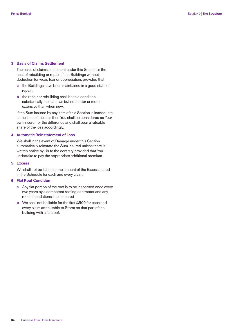#### **3 Basis of Claims Settlement**

 The basis of claims settlement under this Section is the cost of rebuilding or repair of the Buildings without deduction for wear, tear or depreciation, provided that:

- **a** the Buildings have been maintained in a good state of repair;
- **b** the repair or rebuilding shall be to a condition substantially the same as but not better or more extensive than when new.

 If the Sum Insured by any item of this Section is inadequate at the time of the loss then You shall be considered as Your own insurer for the difference and shall bear a rateable share of the loss accordingly.

#### **4 Automatic Reinstatement of Loss**

 We shall in the event of Damage under this Section automatically reinstate the Sum Insured unless there is written notice by Us to the contrary provided that You undertake to pay the appropriate additional premium.

#### **5 Excess**

 We shall not be liable for the amount of the Excess stated in the Schedule for each and every claim.

#### **6 Flat Roof Condition**

- **a** Any flat portion of the roof is to be inspected once every two years by a competent roofing contractor and any recommendations implemented
- **b** We shall not be liable for the first £500 for each and every claim attributable to Storm on that part of the building with a flat roof.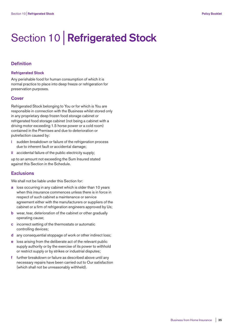# Section 10 | **Refrigerated Stock**

# **Definition**

#### **Refrigerated Stock**

Any perishable food for human consumption of which it is normal practice to place into deep freeze or refrigeration for preservation purposes.

#### **Cover**

Refrigerated Stock belonging to You or for which is You are responsible in connection with the Business whilst stored only in any proprietary deep frozen food storage cabinet or refrigerated food storage cabinet (not being a cabinet with a driving motor exceeding 1.5 horse power or a cold room) contained in the Premises and due to deterioration or putrefaction caused by:

- **i** sudden breakdown or failure of the refrigeration process due to inherent fault or accidental damage;
- **ii** accidental failure of the public electricity supply;

up to an amount not exceeding the Sum Insured stated against this Section in the Schedule.

## **Exclusions**

We shall not be liable under this Section for:

- **a** loss occurring in any cabinet which is older than 10 years when this insurance commences unless there is in force in respect of such cabinet a maintenance or service agreement either with the manufacturers or suppliers of the cabinet or a firm of refrigeration engineers approved by Us;
- **b** wear, tear, deterioration of the cabinet or other gradually operating cause;
- **c** incorrect setting of the thermostats or automatic controlling devices;
- **d** any consequential stoppage of work or other indirect loss;
- **e** loss arising from the deliberate act of the relevant public supply authority or by the exercise of its power to withhold or restrict supply or by strikes or industrial disputes;
- **f** further breakdown or failure as described above until any necessary repairs have been carried out to Our satisfaction (which shall not be unreasonably withheld).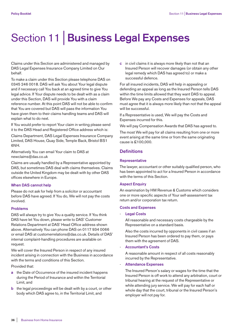# Section 11 | **Business Legal Expenses**

Claims under this Section are administered and managed by DAS Legal Expenses Insurance Company Limited on Our behalf.

To make a claim under this Section please telephone DAS on 0345 246 0018. DAS will ask You about Your legal dispute and if necessary call You back at an agreed time to give You legal advice. If Your dispute needs to be dealt with as a claim under this Section, DAS will provide You with a claim reference number. At this point DAS will not be able to confirm that You are covered but DAS will pass the information You have given them to their claims handling teams and DAS will explain what to do next.

If You would prefer to report Your claim in writing please send it to the DAS Head and Registered Office address which is:

Claims Department, DAS Legal Expenses Insurance Company Limited, DAS House, Quay Side, Temple Back, Bristol BS1 6NH.

Alternatively You can email Your claim to DAS at newclaims@das.co.uk

Claims are usually handled by a Representative appointed by DAS, but sometimes DAS deal with claims themselves. Claims outside the United Kingdom may be dealt with by other DAS offices elsewhere in Europe.

#### **When DAS cannot help**

Please do not ask for help from a solicitor or accountant before DAS have agreed. If You do, We will not pay the costs involved.

#### **Problems**

DAS will always try to give You a quality service. If You think DAS have let You down, please write to DAS' Customer Relations Department at DAS' Head Office address shown above. Alternatively You can phone DAS on 0117 934 0066 or email DAS at customerrelations@das.co.uk. Details of DAS' internal complaint-handling procedures are available on request.

We will cover the Insured Person in respect of any insured incident arising in connection with the Business in accordance with the terms and conditions of this Section.

Provided that:

- **a** the Date of Occurrence of the insured incident happens during the Period of Insurance and within the Territorial Limit, and
- **b** the legal proceedings will be dealt with by a court, or other body which DAS agree to, in the Territorial Limit, and

**c** in civil claims it is always more likely than not that an Insured Person will recover damages (or obtain any other legal remedy which DAS has agreed to) or make a successful defence.

For all insured incidents, DAS will help in appealing or defending an appeal as long as the Insured Person tells DAS within the time limits allowed that they want DAS to appeal. Before We pay any Costs and Expenses for appeals, DAS must agree that it is always more likely than not that the appeal will be successful.

If a Representative is used, We will pay the Costs and Expenses incurred for this.

We will pay Compensation Awards that DAS has agreed to.

The most We will pay for all claims resulting from one or more event arising at the same time or from the same originating cause is £100,000.

## **Definitions**

#### **Representative**

The lawyer, accountant or other suitably qualified person, who has been appointed to act for a Insured Person in accordance with the terms of this Section.

#### **Aspect Enquiry**

An examination by HM Revenue & Customs which considers one or more specific aspects of Your self-assessment tax return and/or corporation tax return.

#### **Costs and Expenses**

- **Legal Costs**

 All reasonable and necessary costs chargeable by the Representative on a standard basis.

 Also the costs incurred by opponents in civil cases if an Insured Person has been ordered to pay them, or pays them with the agreement of DAS.

#### - **Accountant's Costs**

 A reasonable amount in respect of all costs reasonably incurred by the Representative.

#### - **Attendance Expenses**

 The Insured Person's salary or wages for the time that the Insured Person is off work to attend any arbitration, court or tribunal hearing at the request of the Representative or while attending jury service. We will pay for each half or whole day that the court, tribunal or the Insured Person's employer will not pay for.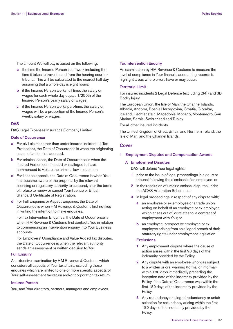The amount We will pay is based on the following:

- **a** the time the Insured Person is off work including the time it takes to travel to and from the hearing court or tribunal. This will be calculated to the nearest half day assuming that a whole day is eight hours;
- **b** if the Insured Person works full time, the salary or wages for each whole day equals 1/250th of the Insured Person's yearly salary or wages;
- **c** if the Insured Person works part-time, the salary or wages will be a proportion of the Insured Person's weekly salary or wages.

#### **DAS**

DAS Legal Expenses Insurance Company Limited.

#### **Date of Occurrence**

- **a** For civil claims (other than under insured incident 4 Tax Protection), the Date of Occurrence is when the originating cause of action first accrued.
- **b** For criminal cases, the Date of Occurrence is when the Insured Person commenced or is alleged to have commenced to violate the criminal law in question.
- **c** For licence appeals, the Date of Occurrence is when You first became aware of the proposal by the relevant licensing or regulatory authority to suspend, alter the terms of, refuse to renew or cancel Your licence or British Standard Certificate of Registration.
- **d** For Full Enquiries or Aspect Enquiries, the Date of Occurrence is when HM Revenue & Customs first notifies in writing the intention to make enquiries.

 For Tax Intervention Enquiries, the Date of Occurrence is when HM Revenue & Customs first contacts You in relation to commencing an intervention enquiry into Your Business accounts.

 For Employers' Compliance and Value Added Tax disputes, the Date of Occurrence is when the relevant authority sends an assessment or written decision to You.

#### **Full Enquiry**

An extensive examination by HM Revenue & Customs which considers all aspects of Your tax affairs, excluding those enquiries which are limited to one or more specific aspects of Your self-assessment tax return and/or corporation tax return.

#### **Insured Person**

You, and Your directors, partners, managers and employees.

## **Tax Intervention Enquiry**

An examination by HM Revenue & Customs to measure the level of compliance in Your financial accounting records to highlight areas where errors have or may occur.

#### **Territorial Limit**

For insured incidents 2 Legal Defence (excluding 2(4)) and 3B Bodily Injury

The European Union, the Isle of Man, the Channel Islands, Albania, Andorra, Bosnia Herzegovina, Croatia, Gibraltar, Iceland, Liechtenstein, Macedonia, Monaco, Montenegro, San Marino, Serbia, Switzerland and Turkey.

For all other insured incidents

The United Kingdom of Great Britain and Northern Ireland, the Isle of Man, and the Channel Islands.

### **Cover**

**1 Employment Disputes and Compensation Awards**

#### **A Employment Disputes**

DAS will defend Your legal rights:

- **1** prior to the issue of legal proceedings in a court or tribunal following the dismissal of an employee; or
- **2** in the resolution of unfair dismissal disputes under the ACAS Arbitration Scheme; or
- **3** in legal proceedings in respect of any dispute with;
	- **a** an employee or ex-employee or a trade union acting on behalf of an employee or ex-employee which arises out of, or relates to, a contract of employment with You; or
	- **b** an employee, prospective employee or exemployee arising from an alleged breach of their statutory rights under employment legislation.

#### **Exclusions**

- **1** Any employment dispute where the cause of action arises within the first 90 days of the indemnity provided by the Policy.
- **2** Any dispute with an employee who was subject to a written or oral warning (formal or informal) within 180 days immediately preceding the inception date of the indemnity provided by the Policy if the Date of Occurrence was within the first 180 days of the indemnity provided by the Policy.
- **3** Any redundancy or alleged redundancy or unfair selection for redundancy arising within the first 180 days of the indemnity provided by the Policy.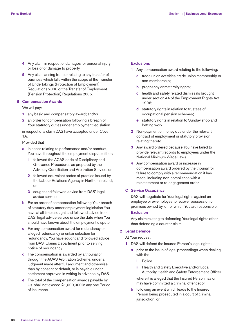- **4** Any claim in respect of damages for personal injury or loss of or damage to property.
- **5** Any claim arising from or relating to any transfer of business which falls within the scope of the Transfer of Undertakings (Protection of Employment) Regulations 2006 or the Transfer of Employment (Pension Protection) Regulations 2005.

#### **B Compensation Awards**

We will pay:

- **1** any basic and compensatory award; and/or
- **2** an order for compensation following a breach of Your statutory duties under employment legislation

 in respect of a claim DAS have accepted under Cover 1A.

Provided that

- **a** In cases relating to performance and/or conduct, You have throughout the employment dispute either:
	- **1** followed the ACAS code of Disciplinary and Grievance Procedures as prepared by the Advisory Conciliation and Arbitration Service; or
	- **2** followed equivalent codes of practice issued by the Labour Relations Agency in Northern Ireland; or
	- **3** sought and followed advice from DAS' legal advice service.
- **b** For an order of compensation following Your breach of statutory duty under employment legislation You have at all times sought and followed advice from DAS' legal advice service since the date when You should have known about the employment dispute.
- **c** For any compensation award for redundancy or alleged redundancy or unfair selection for redundancy, You have sought and followed advice from DAS' Claims Department prior to serving notice of redundancy.
- **d** The compensation is awarded by a tribunal or through the ACAS Arbitration Scheme, under a judgment made after full argument and otherwise than by consent or default, or is payable under settlement approved in writing in advance by DAS.
- **e** The total of the compensation awards payable by Us shall not exceed £1,000,000 in any one Period of Insurance.

#### **Exclusions**

- **1** Any compensation award relating to the following:
	- **a** trade union activities, trade union membership or non-membership;
	- **b** pregnancy or maternity rights;
	- **c** health and safety related dismissals brought under section 44 of the Employment Rights Act 1996;
	- **d** statutory rights in relation to trustees of occupational pension schemes;
	- **e** statutory rights in relation to Sunday shop and betting work.
- **2** Non-payment of money due under the relevant contract of employment or statutory provision relating thereto.
- **3** Any award ordered because You have failed to provide relevant records to employees under the National Minimum Wage Laws.
- **4** Any compensation award or increase in compensation award ordered by the tribunal for failure to comply with a recommendation it has made, including non-compliance with a reinstatement or re-engagement order.

#### **C Service Occupancy**

 DAS will negotiate for Your legal rights against an employee or ex-employee to recover possession of premises owned by, or for which You are responsible.

### **Exclusion**

 Any claim relating to defending Your legal rights other than defending a counter-claim.

#### **2 Legal Defence**

At Your request

- **1** DAS will defend the Insured Person's legal rights:
	- **a** prior to the issue of legal proceedings when dealing with the
		- **i** Police
		- **ii** Health and Safety Executive and/or Local Authority Health and Safety Enforcement Officer

 where it is alleged that the Insured Person has or may have committed a criminal offence; or

**b** following an event which leads to the Insured Person being prosecuted in a court of criminal jurisdiction; or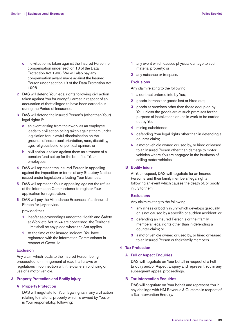- **c** if civil action is taken against the Insured Person for compensation under section 13 of the Data Protection Act 1998. We will also pay any compensation award made against the Insured Person under section 13 of the Data Protection Act 1998.
- **2** DAS will defend Your legal rights following civil action taken against You for wrongful arrest in respect of an accusation of theft alleged to have been carried out during the Period of Insurance.
- **3** DAS will defend the Insured Person's (other than Your) legal rights if:
	- **a** an event arising from their work as an employee leads to civil action being taken against them under legislation for unlawful discrimination on the grounds of sex, sexual orientation, race, disability, age, religious belief or political opinion; or
	- **b** civil action is taken against them as a trustee of a pension fund set up for the benefit of Your employees.
- **4** DAS will represent the Insured Person in appealing against the imposition or terms of any Statutory Notice issued under legislation affecting Your Business.
- **5** DAS will represent You in appealing against the refusal of the Information Commissioner to register Your application for registration.
- **6** DAS will pay the Attendance Expenses of an Insured Person for jury service.

provided that

- **1** Insofar as proceedings under the Health and Safety at Work etc Act 1974 are concerned, the Territorial Limit shall be any place where the Act applies.
- **2** At the time of the insured incident, You have registered with the Information Commissioner in respect of Cover 1c.

#### **Exclusion**

 Any claim which leads to the Insured Person being prosecuted for infringement of road traffic laws or regulations in connection with the ownership, driving or use of a motor vehicle.

#### **3 Property Protection and Bodily Injury**

#### **A Property Protection**

 DAS will negotiate for Your legal rights in any civil action relating to material property which is owned by You, or is Your responsibility, following:

- **1** any event which causes physical damage to such material property; or
- **2** any nuisance or trespass.

#### **Exclusions**

Any claim relating to the following.

- **1** a contract entered into by You;
- **2** goods in transit or goods lent or hired out;
- **3** goods at premises other than those occupied by You unless the goods are at such premises for the purpose of installations or use in work to be carried out by You;
- **4** mining subsidence;
- **5** defending Your legal rights other than in defending a counter-claim;
- **6** a motor vehicle owned or used by, or hired or leased to an Insured Person other than damage to motor vehicles where You are engaged in the business of selling motor vehicles.

#### **B Bodily Injury**

 At Your request, DAS will negotiate for an Insured Person's and their family members' legal rights following an event which causes the death of, or bodily injury to them.

#### **Exclusions**

Any claim relating to the following.

- **1** any illness or bodily injury which develops gradually or is not caused by a specific or sudden accident; or
- **2** defending an Insured Person's or their family members' legal rights other than in defending a counter-claim; or
- **3** a motor vehicle owned or used by, or hired or leased to an Insured Person or their family members.

#### **4 Tax Protection**

#### **A Full or Aspect Enquiries**

 DAS will negotiate on Your behalf in respect of a Full Enquiry and/or Aspect Enquiry and represent You in any subsequent appeal proceedings.

#### **B Tax Intervention Enquiries**

 DAS will negotiate on Your behalf and represent You in any dealings with HM Revenue & Customs in respect of a Tax Intervention Enquiry.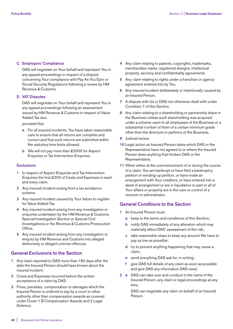#### **C Employers' Compliance**

 DAS will negotiate on Your behalf and represent You in any appeal proceedings in respect of a dispute concerning Your compliance with Pay As You Earn or Social Security Regulations following a review by HM Revenue & Customs.

#### **D VAT Disputes**

 DAS will negotiate on Your behalf and represent You in any appeal proceedings following an assessment issued by HM Revenue & Customs in respect of Value Added Tax due.

provided that

- **a** For all insured incidents, You have taken reasonable care to ensure that all returns are complete and correct and that such returns are submitted within the statutory time limits allowed.
- **b** We will not pay more than £2000 for Aspect Enquiries or Tax Intervention Enquiries.

#### **Exclusions**

- **1** In respect of Aspect Enquiries and Tax Intervention Enquiries the first £200 of Costs and Expenses in each and every claim.
- **2** Any insured incident arising from a tax avoidance scheme.
- **3** Any insured incident caused by Your failure to register for Value Added Tax.
- **4** Any insured incident arising from any investigation or enquiries undertaken by the HM Revenue & Customs Special Investigation Section or Special Civil Investigations or the Revenue & Customs Prosecution Office.
- **5** Any insured incident arising from any investigation or enquiry by HM Revenue and Customs into alleged dishonesty or alleged criminal offences.

## **General Exclusions to the Section**

- **1** Any claim reported to DAS more than 180 days after the date the Insured Person should have known about the insured incident.
- **2** Costs and Expenses incurred before the written acceptance of a claim by DAS.
- **3** Fines, penalties, compensation or damages which the Insured Person is ordered to pay by a court or other authority other than compensation awards as covered under Cover 1 B Compensation Awards and 2 Legal Defence.
- **4** Any claim relating to patents, copyrights, trademarks, merchandise marks, registered designs, intellectual property, secrecy and confidentiality agreements.
- **5** Any claim relating to rights under a franchise or agency agreement entered into by You.
- **6** Any insured incident deliberately or intentionally caused by an Insured Person.
- **7** A dispute with Us or DAS not otherwise dealt with under Condition 7 of this Section.
- **8** Any claim relating to a shareholding or partnership share in the Business unless such shareholding was acquired under a scheme open to all employees of the Business or a substantial number of them of a certain minimum grade other than the directors or partners of the Business.
- **9** Judicial review.
- **10** Legal action an Insured Person takes which DAS or the Representative have not agreed to or where the Insured Person does anything that hinders DAS or the Representative.
- **11** When either at the commencement of or during the course of a claim, You are bankrupt or have filed a bankruptcy petition or winding-up petition, or have made an arrangement with Your creditors, or have entered into a deed of arrangement or are in liquidation or part or all of Your affairs or property are in the care or control of a receiver or administrator.

## **General Conditions to the Section**

- **1** An Insured Person must:
	- **a** keep to the terms and conditions of this Section;
	- **b** notify DAS immediately of any alteration which may materially affect DAS' assessment of the risk;
	- **c** take reasonable steps to keep any amount We have to pay as low as possible;
	- **d** try to prevent anything happening that may cause a claim;
	- **e** send everything DAS ask for, in writing;
	- **f** give DAS full details of any claim as soon as possible and give DAS any information DAS need.
- **2 a** DAS can take over and conduct in the name of the Insured Person, any claim or legal proceedings at any time.

 DAS can negotiate any claim on behalf of an Insured Person.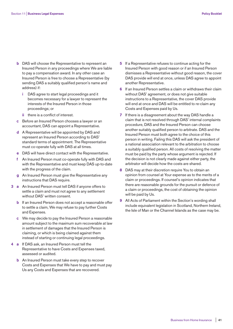- **b** DAS will choose the Representative to represent an Insured Person in any proceedings where We are liable to pay a compensation award. In any other case an Insured Person is free to choose a Representative (by sending DAS a suitably qualified person's name and address) if:
	- **i** DAS agree to start legal proceedings and it becomes necessary for a lawyer to represent the interests of the Insured Person in those proceedings; or
	- **ii** there is a conflict of interest.
- **c** Before an Insured Person chooses a lawyer or an accountant, DAS can appoint a Representative.
- **d** A Representative will be appointed by DAS and represent an Insured Person according to DAS' standard terms of appointment. The Representative must co-operate fully with DAS at all times.
- **e** DAS will have direct contact with the Representative.
- **f** An Insured Person must co-operate fully with DAS and with the Representative and must keep DAS up-to-date with the progress of the claim.
- **g** An Insured Person must give the Representative any instructions that DAS require.
- **3 a** An Insured Person must tell DAS if anyone offers to settle a claim and must not agree to any settlement without DAS' written consent.
	- **b** If an Insured Person does not accept a reasonable offer to settle a claim, We may refuse to pay further Costs and Expenses.
	- **c** We may decide to pay the Insured Person a reasonable amount subject to the maximum sum recoverable at law in settlement of damages that the Insured Person is claiming, or which is being claimed against them instead of starting or continuing legal proceedings.
- **4 a** If DAS ask, an Insured Person must tell the Representative to have Costs and Expenses taxed, assessed or audited.
	- **b** An Insured Person must take every step to recover Costs and Expenses that We have to pay and must pay Us any Costs and Expenses that are recovered.
- **5** If a Representative refuses to continue acting for the Insured Person with good reason or if an Insured Person dismisses a Representative without good reason, the cover DAS provide will end at once, unless DAS agree to appoint another Representative.
- **6** If an Insured Person settles a claim or withdraws their claim without DAS' agreement, or does not give suitable instructions to a Representative, the cover DAS provide will end at once and DAS will be entitled to re-claim any Costs and Expenses paid by Us.
- **7** If there is a disagreement about the way DAS handle a claim that is not resolved through DAS' internal complaints procedure, DAS and the Insured Person can choose another suitably qualified person to arbitrate. DAS and the Insured Person must both agree to the choice of this person in writing. Failing this DAS will ask the president of a national association relevant to the arbitration to choose a suitably qualified person. All costs of resolving the matter must be paid by the party whose argument is rejected. If the decision is not clearly made against either party, the arbitrator will decide how the costs are shared.
- **8** DAS may at their discretion require You to obtain an opinion from counsel at Your expense as to the merits of a claim or proceedings. If counsel's opinion indicates that there are reasonable grounds for the pursuit or defence of a claim or proceedings, the cost of obtaining the opinion will be paid by Us.
- **9** All Acts of Parliament within the Section's wording shall include equivalent legislation in Scotland, Northern Ireland, the Isle of Man or the Channel Islands as the case may be.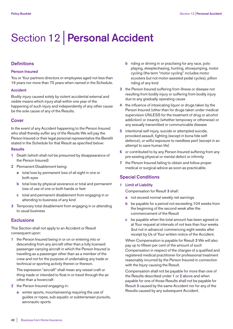# Section 12 | **Personal Accident**

# **Definitions**

#### **Person Insured**

You or Your partners directors or employees aged not less than 16 years nor more than 75 years when named in the Schedule.

#### **Accident**

Bodily injury caused solely by violent accidental external and visible means which injury shall within one year of the happening of such injury and independently of any other cause be the sole cause of any of the Results.

# **Cover**

In the event of any Accident happening to the Person Insured who shall thereby suffer any of the Results We will pay the Person Insured or their legal personal representative the Benefit stated in the Schedule for that Result as specified below:

#### **Results**

- **1** Death (which shall not be presumed by disappearance of the Person Insured)
- **2** Permanent Disablement being:
	- **a** total loss by permanent loss of all sight in one or both eyes
	- **b** total loss by physical severance or total and permanent loss of use of one or both hands or feet
	- **c** total and permanent disablement from engaging in or attending to business of any kind
- **3** Temporary total disablement from engaging in or attending to usual business

# **Exclusions**

This Section shall not apply to an Accident or Result consequent upon:

**1** the Person Insured being in or on or entering into or descending from any aircraft other than a fully licensed passenger carrying aircraft in which the Person Insured is travelling as a passenger other than as a member of the crew and not for the purpose of undertaking any trade or technical or sporting activity therein or thereon.

 The expression "aircraft" shall mean any vessel craft or thing made or intended to float in or travel through the air other than a hovercraft

- **2** the Person Insured engaging in:
	- **a** winter sports, mountaineering requiring the use of guides or ropes, sub-aquatic or subterranean pursuits, aeronautic sports
- **b** riding or driving in or practising for any race, polo playing, steeplechasing, hunting, showjumping, motor cycling (the term "motor cycling" includes motor scooters but not motor-assisted pedal cycles), pillion riding of any kind
- **3** the Person Insured suffering from illness or disease not resulting from bodily injury or suffering from bodily injury due to any gradually operating cause
- **4** the influence of intoxicating liquor or drugs taken by the Person Insured (other than for drugs taken under medical supervision UNLESS for the treatment of drug or alcohol addiction) or insanity (whether temporary or otherwise) or any sexually transmitted or communicable disease
- **5** intentional self-injury, suicide or attempted suicide, provoked assault, fighting (except in bona fide selfdefence), or wilful exposure to needless peril (except in an attempt to save human life)
- **6** or contributed to by any Person Insured suffering from any pre-existing physical or mental defect or infirmity
- **7** the Person Insured failing to obtain and follow proper medical or surgical advice as soon as practicable.

# **Special Conditions**

## **1 Limit of Liability**

Compensation for Result **3** shall:

- **a** not exceed normal weekly net earnings
- **b** be payable for a period not exceeding 104 weeks from the beginning of the second week after the commencement of the Result
- **c** be payable when the total amount has been agreed or at Your request at intervals of not less than four weeks (but not in advance) commencing eight weeks after receipt by Us of Your written notice of the Accident.

 When Compensation is payable for Result **3** We will also pay up to fifteen per cent of the amount of such Compensation in respect of the charges of a qualified and registered medical practitioner for professional treatment reasonably incurred by the Person Insured in connection with the Injury causing the Result.

 Compensation shall not be payable for more than one of the Results described under **1** or **2** above and when payable for one of those Results shall not be payable for Result **3** caused by the same Accident nor for any of the Results caused by any subsequent Accident.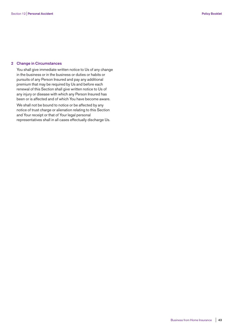#### **2 Change in Circumstances**

 You shall give immediate written notice to Us of any change in the business or in the business or duties or habits or pursuits of any Person Insured and pay any additional premium that may be required by Us and before each renewal of this Section shall give written notice to Us of any injury or disease with which any Person Insured has been or is affected and of which You have become aware.

 We shall not be bound to notice or be affected by any notice of trust charge or alienation relating to this Section and Your receipt or that of Your legal personal representatives shall in all cases effectually discharge Us.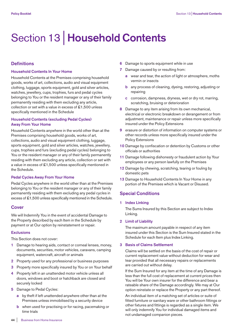# Section 13 | **Household Contents**

# **Definitions**

#### **Household Contents In Your Home**

Household Contents at the Premises comprising household goods, works of art, collections, audio and visual equipment clothing, luggage, sports equipment, gold and silver articles, watches, jewellery, cups, trophies, furs and pedal cycles belonging to You or the resident manager or any of their family permanently residing with them excluding any article, collection or set with a value in excess of £1,500 unless specifically mentioned in the Schedule

#### **Household Contents (excluding Pedal Cycles) Away From Your Home**

Household Contents anywhere in the world other than at the Premises comprising household goods, works of art, collections, audio and visual equipment clothing, luggage, sports equipment, gold and silver articles, watches, jewellery, cups, trophies and furs (excluding pedal cycles) belonging to You or the resident manager or any of their family permanently residing with them excluding any article, collection or set with a value in excess of £1,500 unless specifically mentioned in the Schedule.

#### **Pedal Cycles Away From Your Home**

Pedal Cycles anywhere in the world other than at the Premises belonging to You or the resident manager or any of their family permanently residing with them excluding any pedal cycles in excess of £1,500 unless specifically mentioned in the Schedule.

### **Cover**

We will Indemnify You in the event of accidental Damage to the Property described by each Item in the Schedule by payment or at Our option by reinstatement or repair.

### **Exclusions**

This Section does not cover:

- **1** Damage to hearing aids, contact or corneal lenses, money, documents, securities, motor vehicles, caravans, camping equipment, watercraft, aircraft or animals
- **2** Property used for any professional or business purposes
- **3** Property more specifically insured by You or on Your behalf
- **4** Property left in an unattended motor vehicle unless all doors, windows and boot or hatchback are closed and securely locked
- **5** Damage to Pedal Cycles:
	- **a** by theft if left unattended anywhere other than at the Premises unless immobilised by a security device
	- **b** when used for practising or for racing, pacemaking or time trials
- **6** Damage to sports equipment while in use
- **7** Damage caused by or resulting from:
	- **a** wear and tear, the action of light or atmosphere, moths vermin or insects
	- **b** any process of cleaning, dyeing, restoring, adjusting or repairing
	- **c** corrosion, dampness, dryness, wet or dry rot, marring, scratching, bruising or deterioration
- **8** Damage to any item arising from its own mechanical, electrical or electronic breakdown or derangement or from adjustment, maintenance or repair unless more specifically insured under the Policy Extensions
- **9** erasure or distortion of information on computer systems or other records unless more specifically insured under the Policy Extensions
- **10** Damage by confiscation or detention by Customs or other officials or authorities
- **11** Damage following dishonesty or fraudulent action by Your employees or any person lawfully on the Premises
- **12** Damage by chewing, scratching, tearing or fouling by domestic pets
- **13** Damage to Household Contents In Your Home in any portion of the Premises which is Vacant or Disused.

# **Special Conditions**

**1 Index Linking**

 The Sums Insured by this Section are subject to Index Linking.

**2 Limit of Liability**

 The maximum amount payable in respect of any item insured under this Section is the Sum Insured stated in the Schedule for each Item plus Index Linking.

#### **3 Basis of Claims Settlement**

 Claims will be settled on the basis of the cost of repair or current replacement value without deduction for wear and tear provided that all necessary repairs or replacements are carried out without delay.

 If the Sum Insured for any item at the time of any Damage is less than the full cost of replacement at current prices then You will be Your own insurer for the difference and bear a rateable share of the Damage accordingly. We may at Our option reinstate or replace the Property or any part thereof.

 An individual item of a matching set of articles or suite of fitted furniture or sanitary ware or other bathroom fittings or other fixtures and fittings is regarded as a single item. We will only indemnify You for individual damaged items and not undamaged companion pieces.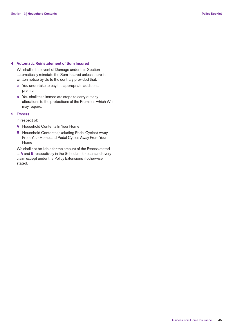#### **4 Automatic Reinstatement of Sum Insured**

 We shall in the event of Damage under this Section automatically reinstate the Sum Insured unless there is written notice by Us to the contrary provided that:

- **a** You undertake to pay the appropriate additional premium
- **b** You shall take immediate steps to carry out any alterations to the protections of the Premises which We may require.

#### **5 Excess**

In respect of:

- **A** Household Contents In Your Home
- **B** Household Contents (excluding Pedal Cycles) Away From Your Home and Pedal Cycles Away From Your Home

 We shall not be liable for the amount of the Excess stated at **A** and **B** respectively in the Schedule for each and every claim except under the Policy Extensions if otherwise stated.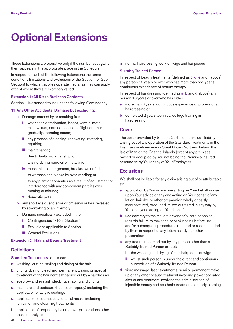# **Optional Extensions**

These Extensions are operative only if the number set against them appears in the appropriate place in the Schedule.

In respect of each of the following Extensions the terms conditions limitations and exclusions of the Section (or Sub Section) to which it applies operate insofar as they can apply except where they are expressly varied.

#### **Extension 1: All Risks Business Contents**

Section 1 is extended to include the following Contingency:

#### **11 Any Other Accidental Damage but excluding:**

- **a** Damage caused by or resulting from:
	- **i** wear, tear, deterioration, insect, vermin, moth, mildew, rust, corrosion, action of light or other gradually operating cause;
	- **ii** any process of cleaning, renovating, restoring, repairing;
	- **iii** maintenance; due to faulty workmanship; or arising during removal or installation;
	- **iv** mechanical derangement, breakdown or fault;

to watches and clocks by over-winding; or

 to any plant or apparatus as a result of adjustment or interference with any component part, its over running or misuse;

- **v** domestic pets.
- **b** any shortage due to error or omission or loss revealed by stocktaking or an inventory;
- **c** Damage specifically excluded in the:
	- **i** Contingencies 1-10 in Section 1
	- **ii** Exclusions applicable to Section 1
	- **iii** General Exclusions

#### **Extension 2 : Hair and Beauty Treatment**

## **Definitions**

**Standard Treatments** shall mean:

- **a** washing, cutting, styling and drying of the hair
- **b** tinting, dyeing, bleaching, permanent waving or special treatment of the hair normally carried out by a hairdresser
- **c** eyebrow and eyelash plucking, shaping and tinting
- **d** manicure and pedicure (but not chiropody) including the application of acrylic coatings
- **e** application of cosmetics and facial masks including ionisation and steaming treatments
- **f** application of proprietary hair removal preparations other than electrolysis

**g** normal hairdressing work on wigs and hairpieces

#### **Suitably Trained Person**

In respect of beauty treatments (defined as **c**, **d**, **e** and **f** above) any person 18 years or over who has more than one year's continuous experience of beauty therapy

In respect of hairdressing (defined as **a**, **b** and **g** above) any person 18 years or over who has either

- **a** more than 3 years' continuous experience of professional hairdressing or
- **b** completed 2 years technical college training in hairdressing

#### **Cover**

The cover provided by Section 2 extends to include liability arising out of any operation of the Standard Treatments in the Premises or elsewhere in Great Britain Northern Ireland the Isle of Man or the Channel Islands (except any premises owned or occupied by You not being the Premises insured hereunder) by You or any of Your Employees.

#### **Exclusions**

We shall not be liable for any claim arising out of or attributable to:

- **a** application by You or any one acting on Your behalf or use upon Your advice or any one acting on Your behalf of any lotion, hair dye or other preparation wholly or partly manufactured, produced, mixed or treated in any way by You or anyone acting on Your behalf
- **b** use contrary to the makers or vendor's instructions as regards failure to make the prior skin tests before use and/or subsequent procedures required or recommended by them in respect of any lotion hair dye or other preparation
- **c** any treatment carried out by any person other than a Suitably Trained Person except:
	- **i** the washing and drying of hair, hairpieces or wigs
	- **ii** whilst such person is under the direct and continuous supervision of a Suitably Trained Person
- **d** vibro massage, laser treatments, semi or permanent make up or any other beauty treatment involving power operated aids or any treatment involving the administration of injectible beauty and aesthetic treatments or body piercing.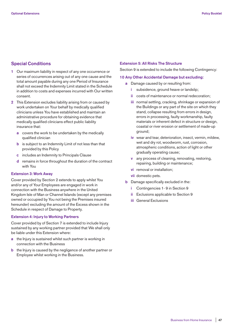# **Special Conditions**

- **1** Our maximum liability in respect of any one occurrence or series of occurrences arising out of any one cause and the total amount payable during any one Period of Insurance shall not exceed the Indemnity Limit stated in the Schedule in addition to costs and expenses incurred with Our written consent.
- **2** This Extension excludes liability arising from or caused by work undertaken on Your behalf by medically qualified clinicians unless You have established and maintain an administrative procedure for obtaining evidence that medically qualified clinicians effect public liability insurance that:
	- **a** covers the work to be undertaken by the medically qualified clinician
	- **b** is subject to an Indemnity Limit of not less than that provided by this Policy
	- **c** includes an Indemnity to Principals Clause
	- **d** remains in force throughout the duration of the contract with You

#### **Extension 3: Work Away**

Cover provided by Section 2 extends to apply whilst You and/or any of Your Employees are engaged in work in connection with the Business anywhere in the United Kingdom Isle of Man or Channel Islands (except any premises owned or occupied by You not being the Premises insured hereunder) excluding the amount of the Excess shown in the Schedule in respect of Damage to Property.

#### **Extension 4: Injury to Working Partners**

Cover provided by of Section 7 is extended to include Injury sustained by any working partner provided that We shall only be liable under this Extension where:

- **a** the Injury is sustained whilst such partner is working in connection with the Business
- **b** the Injury is caused by the negligence of another partner or Employee whilst working in the Business.

#### **Extension 5: All Risks The Structure**

Section 9 is extended to include the following Contingency:

#### **10 Any Other Accidental Damage but excluding:**

- **a** Damage caused by or resulting from:
	- **i** subsidence, ground heave or landslip;
	- **ii** costs of maintenance or normal redecoration;
	- **iii** normal settling, cracking, shrinkage or expansion of the Buildings or any part of the site on which they stand, collapse resulting from errors in design, errors in processing, faulty workmanship, faulty materials or inherent defect in structure or design, coastal or river erosion or settlement of made-up ground;
	- **iv** wear and tear, deterioration, insect, vermin, mildew, wet and dry rot, woodworm, rust, corrosion, atmospheric conditions, action of light or other gradually operating cause;
	- **v** any process of cleaning, renovating, restoring, repairing, building or maintenance;
	- **vi** removal or installation;
	- **vii** domestic pets.
- **b** Damage specifically excluded in the:
	- **i** Contingencies 1- 9 in Section 9
	- **ii** Exclusions applicable to Section 9
	- **iii** General Exclusions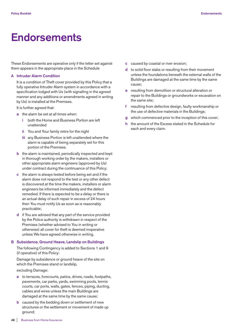# **Endorsements**

These Endorsements are operative only if the letter set against them appears in the appropriate place in the Schedule

#### **A Intruder Alarm Condition**

 It is a condition of Theft cover provided by this Policy that a fully operative Intruder Alarm system in accordance with a specification lodged with Us (with signalling in the agreed manner and any additions or amendments agreed in writing by Us) is installed at the Premises.

It is further agreed that:

- **a** the alarm be set at all times when:
	- **i** both the Home and Business Portion are left unattended
	- **ii** You and Your family retire for the night
	- **iii** any Business Portion is left unattended where the alarm is capable of being separately set for this portion of the Premises.
- **b** the alarm is maintained, periodically inspected and kept in thorough working order by the makers, installers or other appropriate alarm engineers (approved by Us) under contract during the continuance of this Policy;
- **c** the alarm is always tested before being set and if the alarm does not respond to the test or any other defect is discovered at the time the makers, installers or alarm engineers be informed immediately and the defect remedied. If there is expected to be a delay or there is an actual delay of such repair in excess of 24 hours then You must notify Us as soon as is reasonably practicable;
- **d** if You are advised that any part of the service provided by the Police authority is withdrawn in respect of the Premises (whether advised to You in writing or otherwise) all cover for theft is deemed inoperative unless We have agreed otherwise in writing.

#### **B Subsidence, Ground Heave, Landslip on Buildings**

 The following Contingency is added to Sections 1 and 9 (if operative) of this Policy:

 Damage by subsidence or ground heave of the site on which the Premises stand or landslip,

excluding Damage:

- **a** to terraces, forecourts, patios, drives, roads, footpaths, pavements, car parks, yards, swimming pools, tennis courts, car ports, walls, gates, fences, piping, ducting, cables and wires unless the main Buildings are damaged at the same time by the same cause;
- **b** caused by the bedding down or settlement of new structures or the settlement or movement of made up ground;
- **c** caused by coastal or river erosion;
- **d** to solid floor slabs or resulting from their movement unless the foundations beneath the external walls of the Buildings are damaged at the same time by the same cause;
- **e** resulting from demolition or structural alteration or repair to the Buildings or groundworks or excavation on the same site;
- **f** resulting from defective design, faulty workmanship or the use of defective materials in the Buildings;
- **g** which commenced prior to the inception of this cover;
- **h** the amount of the Excess stated in the Schedule for each and every claim.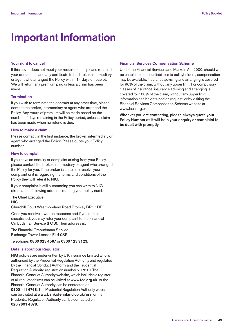# **Important Information**

#### **Your right to cancel**

If this cover does not meet your requirements, please return all your documents and any certificate to the broker, intermediary or agent who arranged the Policy within 14 days of receipt. We will return any premium paid unless a claim has been made.

#### **Termination**

If you wish to terminate the contract at any other time, please contact the broker, intermediary or agent who arranged the Policy. Any return of premium will be made based on the number of days remaining in the Policy period, unless a claim has been made when no refund is due.

#### **How to make a claim**

Please contact, in the first instance, the broker, intermediary or agent who arranged the Policy. Please quote your Policy number.

#### **How to complain**

If you have an enquiry or complaint arising from your Policy, please contact the broker, intermediary or agent who arranged the Policy for you. If the broker is unable to resolve your complaint or it is regarding the terms and conditions of the Policy they will refer it to NIG.

If your complaint is still outstanding you can write to NIG direct at the following address, quoting your policy number.

The Chief Executive, NIG

Churchill Court Westmoreland Road Bromley BR1 1DP

Once you receive a written response and if you remain dissatisfied, you may refer your complaint to the Financial Ombudsman Service (FOS). Their address is:

The Financial Ombudsman Service Exchange Tower London E14 9SR

Telephone: **0800 023 4567** or **0300 123 9123**.

#### **Details about our Regulator**

NIG policies are underwritten by U K Insurance Limited who is authorised by the Prudential Regulation Authority and regulated by the Financial Conduct Authority and the Prudential Regulation Authority, registration number 202810. The Financial Conduct Authority website, which includes a register of all regulated firms can be visited at **www.fca.org.uk**, or the Financial Conduct Authority can be contacted on **0800 111 6768**. The Prudential Regulation Authority website can be visited at **www.bankofengland.co.uk/pra**, or the Prudential Regulation Authority can be contacted on **020 7601 4878**.

#### **Financial Services Compensation Scheme**

Under the Financial Services and Markets Act 2000, should we be unable to meet our liabilities to policyholders, compensation may be available. Insurance advising and arranging is covered for 90% of the claim, without any upper limit. For compulsory classes of insurance, insurance advising and arranging is covered for 100% of the claim, without any upper limit. Information can be obtained on request, or by visiting the Financial Services Compensation Scheme website at www.fscs.org.uk

**Whoever you are contacting, please always quote your Policy Number as it will help your enquiry or complaint to be dealt with promptly.**